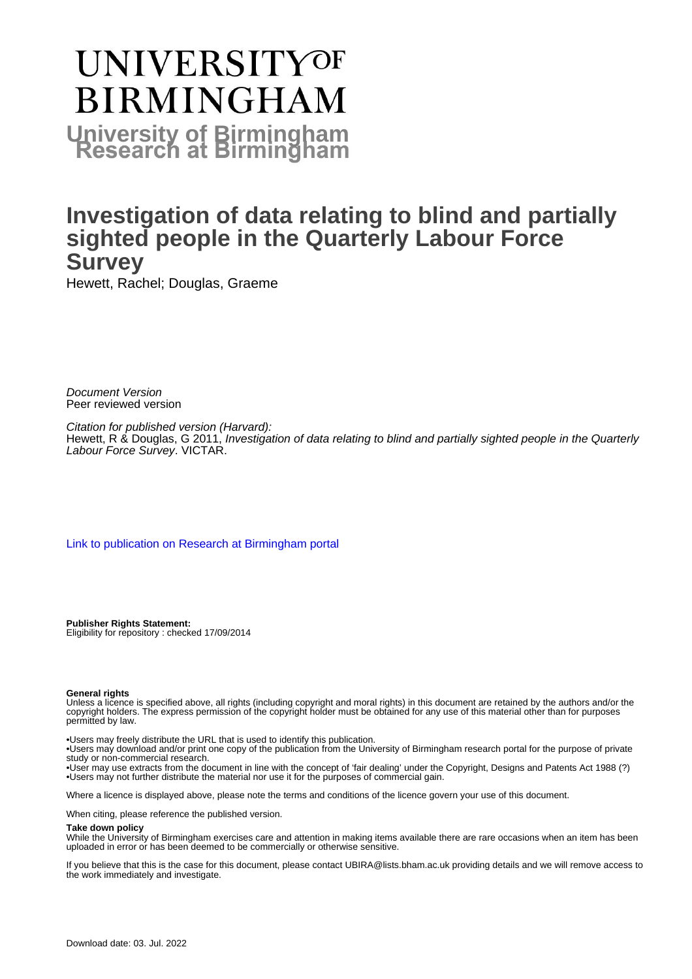# **UNIVERSITYOF BIRMINGHAM University of Birmingham**

## **Investigation of data relating to blind and partially sighted people in the Quarterly Labour Force Survey**

Hewett, Rachel; Douglas, Graeme

Document Version Peer reviewed version

Citation for published version (Harvard): Hewett, R & Douglas, G 2011, Investigation of data relating to blind and partially sighted people in the Quarterly Labour Force Survey. VICTAR.

[Link to publication on Research at Birmingham portal](https://birmingham.elsevierpure.com/en/publications/7f0dd9ba-f775-416a-8681-1df4644f8284)

**Publisher Rights Statement:** Eligibility for repository : checked 17/09/2014

#### **General rights**

Unless a licence is specified above, all rights (including copyright and moral rights) in this document are retained by the authors and/or the copyright holders. The express permission of the copyright holder must be obtained for any use of this material other than for purposes permitted by law.

• Users may freely distribute the URL that is used to identify this publication.

• Users may download and/or print one copy of the publication from the University of Birmingham research portal for the purpose of private study or non-commercial research.

• User may use extracts from the document in line with the concept of 'fair dealing' under the Copyright, Designs and Patents Act 1988 (?) • Users may not further distribute the material nor use it for the purposes of commercial gain.

Where a licence is displayed above, please note the terms and conditions of the licence govern your use of this document.

When citing, please reference the published version.

#### **Take down policy**

While the University of Birmingham exercises care and attention in making items available there are rare occasions when an item has been uploaded in error or has been deemed to be commercially or otherwise sensitive.

If you believe that this is the case for this document, please contact UBIRA@lists.bham.ac.uk providing details and we will remove access to the work immediately and investigate.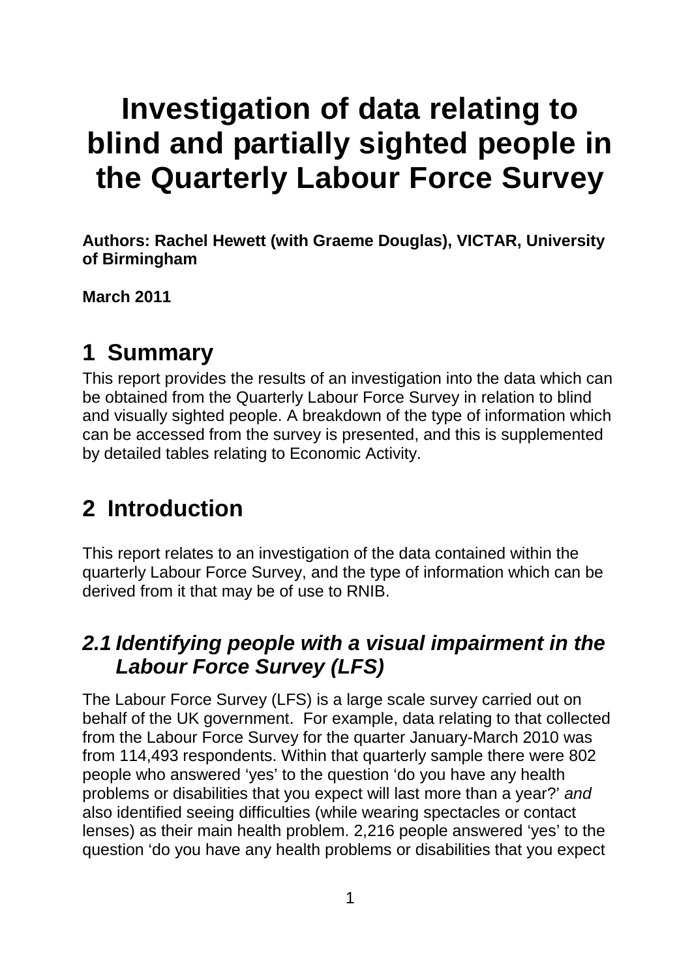# **Investigation of data relating to blind and partially sighted people in the Quarterly Labour Force Survey**

**Authors: Rachel Hewett (with Graeme Douglas), VICTAR, University of Birmingham**

**March 2011**

## **1 Summary**

This report provides the results of an investigation into the data which can be obtained from the Quarterly Labour Force Survey in relation to blind and visually sighted people. A breakdown of the type of information which can be accessed from the survey is presented, and this is supplemented by detailed tables relating to Economic Activity.

## **2 Introduction**

This report relates to an investigation of the data contained within the quarterly Labour Force Survey, and the type of information which can be derived from it that may be of use to RNIB.

## *2.1 Identifying people with a visual impairment in the Labour Force Survey (LFS)*

The Labour Force Survey (LFS) is a large scale survey carried out on behalf of the UK government. For example, data relating to that collected from the Labour Force Survey for the quarter January-March 2010 was from 114,493 respondents. Within that quarterly sample there were 802 people who answered 'yes' to the question 'do you have any health problems or disabilities that you expect will last more than a year?' *and* also identified seeing difficulties (while wearing spectacles or contact lenses) as their main health problem. 2,216 people answered 'yes' to the question 'do you have any health problems or disabilities that you expect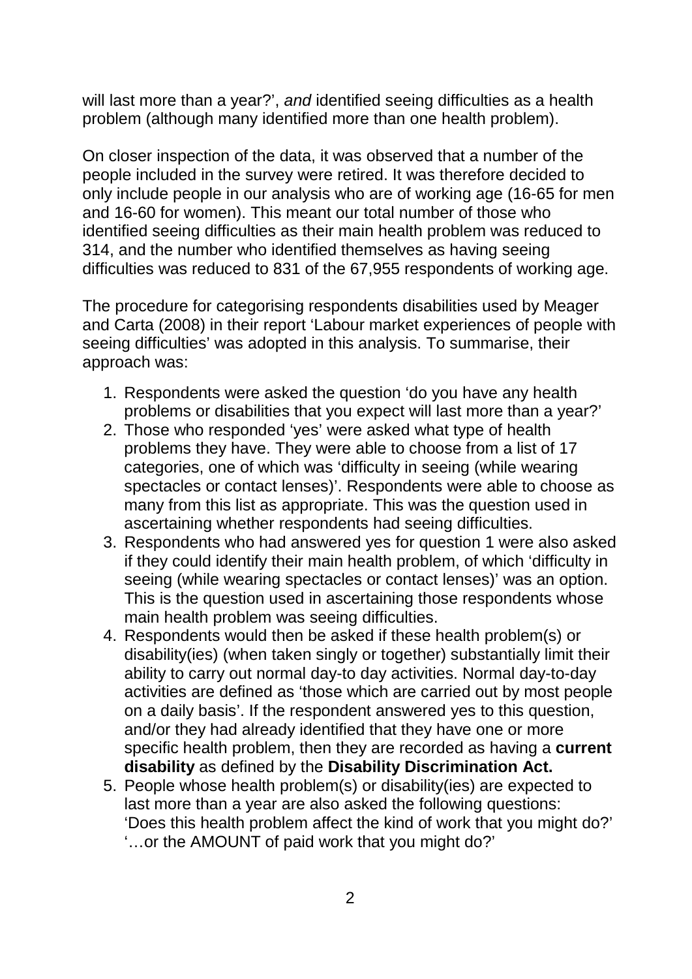will last more than a year?', *and* identified seeing difficulties as a health problem (although many identified more than one health problem).

On closer inspection of the data, it was observed that a number of the people included in the survey were retired. It was therefore decided to only include people in our analysis who are of working age (16-65 for men and 16-60 for women). This meant our total number of those who identified seeing difficulties as their main health problem was reduced to 314, and the number who identified themselves as having seeing difficulties was reduced to 831 of the 67,955 respondents of working age.

The procedure for categorising respondents disabilities used by Meager and Carta (2008) in their report 'Labour market experiences of people with seeing difficulties' was adopted in this analysis. To summarise, their approach was:

- 1. Respondents were asked the question 'do you have any health problems or disabilities that you expect will last more than a year?'
- 2. Those who responded 'yes' were asked what type of health problems they have. They were able to choose from a list of 17 categories, one of which was 'difficulty in seeing (while wearing spectacles or contact lenses)'. Respondents were able to choose as many from this list as appropriate. This was the question used in ascertaining whether respondents had seeing difficulties.
- 3. Respondents who had answered yes for question 1 were also asked if they could identify their main health problem, of which 'difficulty in seeing (while wearing spectacles or contact lenses)' was an option. This is the question used in ascertaining those respondents whose main health problem was seeing difficulties.
- 4. Respondents would then be asked if these health problem(s) or disability(ies) (when taken singly or together) substantially limit their ability to carry out normal day-to day activities. Normal day-to-day activities are defined as 'those which are carried out by most people on a daily basis'. If the respondent answered yes to this question, and/or they had already identified that they have one or more specific health problem, then they are recorded as having a **current disability** as defined by the **Disability Discrimination Act.**
- 5. People whose health problem(s) or disability(ies) are expected to last more than a year are also asked the following questions: 'Does this health problem affect the kind of work that you might do?' '…or the AMOUNT of paid work that you might do?'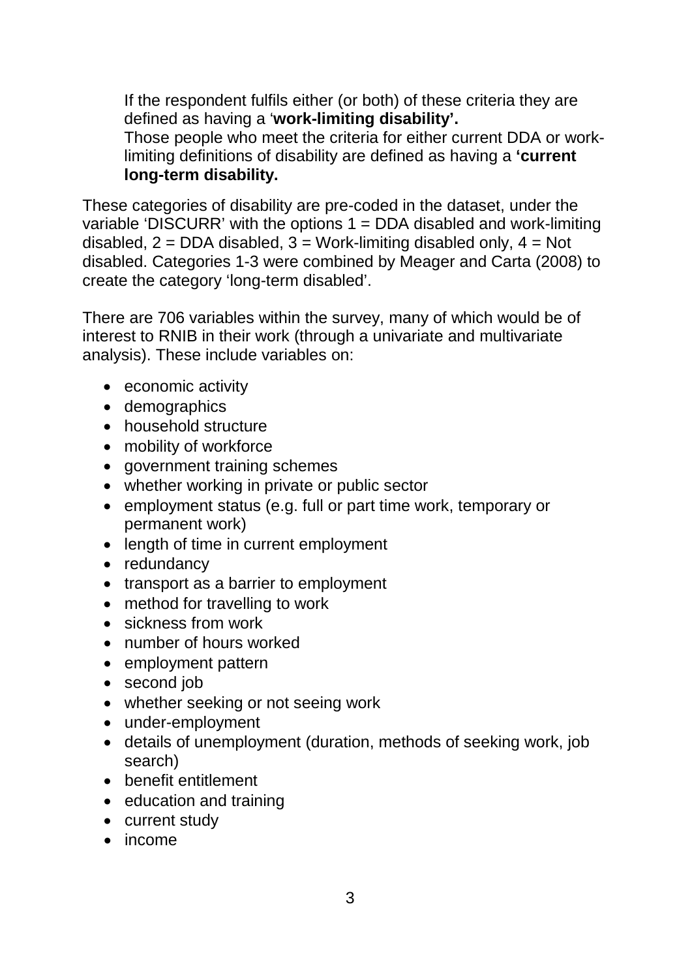If the respondent fulfils either (or both) of these criteria they are defined as having a '**work-limiting disability'.** Those people who meet the criteria for either current DDA or worklimiting definitions of disability are defined as having a **'current long-term disability.**

These categories of disability are pre-coded in the dataset, under the variable 'DISCURR' with the options  $1 = DDA$  disabled and work-limiting disabled,  $2 = DDA$  disabled,  $3 = Work$ -limiting disabled only,  $4 = Not$ disabled. Categories 1-3 were combined by Meager and Carta (2008) to create the category 'long-term disabled'.

There are 706 variables within the survey, many of which would be of interest to RNIB in their work (through a univariate and multivariate analysis). These include variables on:

- economic activity
- demographics
- household structure
- mobility of workforce
- government training schemes
- whether working in private or public sector
- employment status (e.g. full or part time work, temporary or permanent work)
- length of time in current employment
- redundancy
- transport as a barrier to employment
- method for travelling to work
- sickness from work
- number of hours worked
- employment pattern
- second job
- whether seeking or not seeing work
- under-employment
- details of unemployment (duration, methods of seeking work, job search)
- benefit entitlement
- education and training
- current study
- income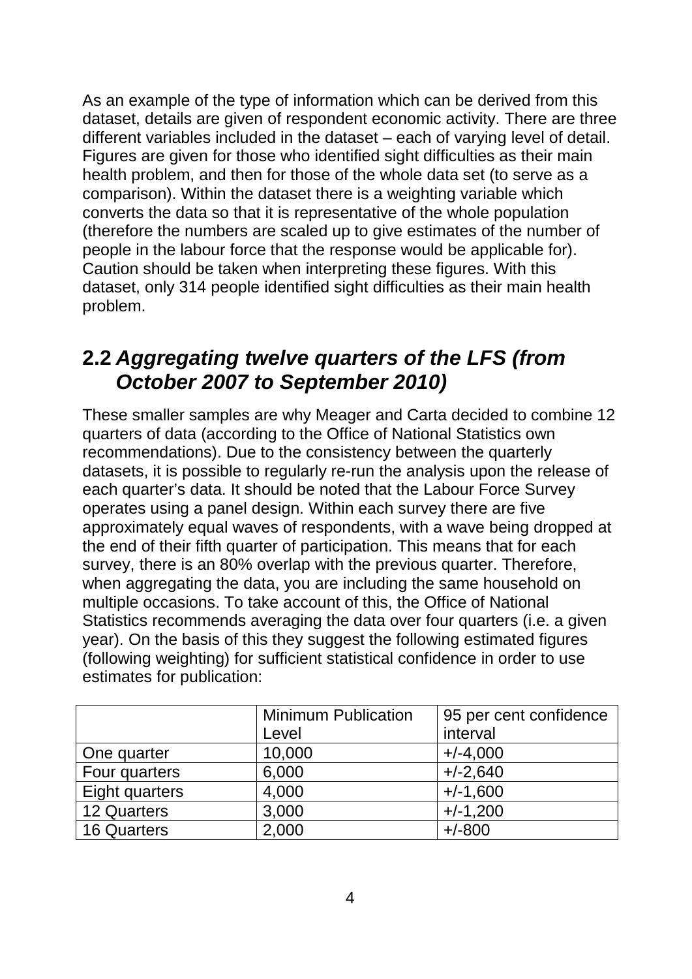As an example of the type of information which can be derived from this dataset, details are given of respondent economic activity. There are three different variables included in the dataset – each of varying level of detail. Figures are given for those who identified sight difficulties as their main health problem, and then for those of the whole data set (to serve as a comparison). Within the dataset there is a weighting variable which converts the data so that it is representative of the whole population (therefore the numbers are scaled up to give estimates of the number of people in the labour force that the response would be applicable for). Caution should be taken when interpreting these figures. With this dataset, only 314 people identified sight difficulties as their main health problem.

## **2.2** *Aggregating twelve quarters of the LFS (from October 2007 to September 2010)*

These smaller samples are why Meager and Carta decided to combine 12 quarters of data (according to the Office of National Statistics own recommendations). Due to the consistency between the quarterly datasets, it is possible to regularly re-run the analysis upon the release of each quarter's data. It should be noted that the Labour Force Survey operates using a panel design. Within each survey there are five approximately equal waves of respondents, with a wave being dropped at the end of their fifth quarter of participation. This means that for each survey, there is an 80% overlap with the previous quarter. Therefore, when aggregating the data, you are including the same household on multiple occasions. To take account of this, the Office of National Statistics recommends averaging the data over four quarters (i.e. a given year). On the basis of this they suggest the following estimated figures (following weighting) for sufficient statistical confidence in order to use estimates for publication:

|                    | <b>Minimum Publication</b> | 95 per cent confidence |  |
|--------------------|----------------------------|------------------------|--|
|                    | Level                      | interval               |  |
| One quarter        | 10,000                     | $+/-4,000$             |  |
| Four quarters      | 6,000                      | $+/-2,640$             |  |
| Eight quarters     | 4,000                      | $+/-1,600$             |  |
| 12 Quarters        | 3,000                      | $+/-1,200$             |  |
| <b>16 Quarters</b> | 2,000                      | $+/-800$               |  |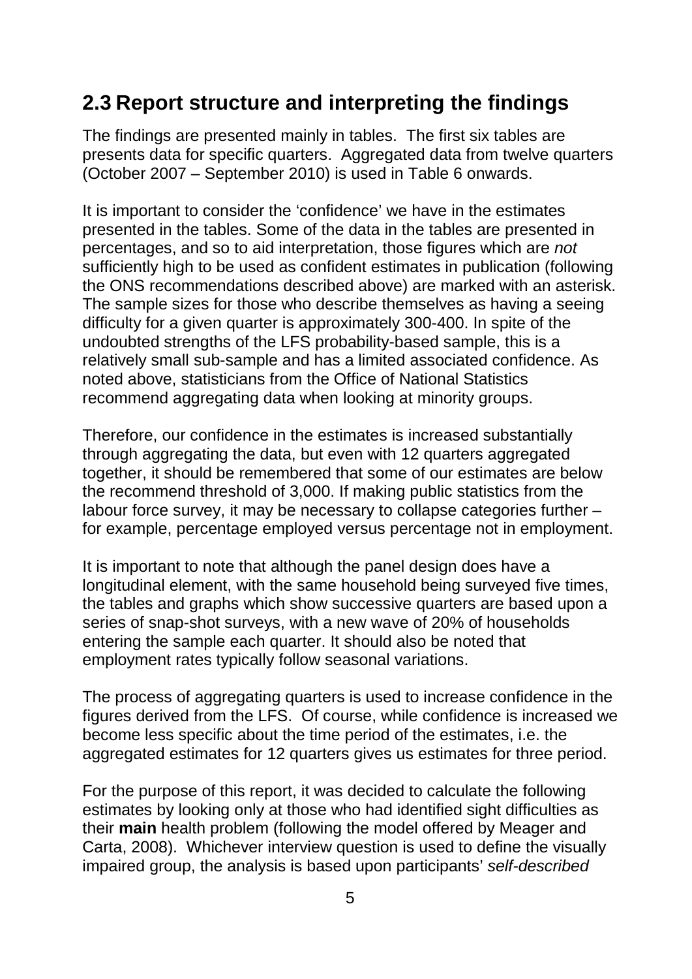## **2.3 Report structure and interpreting the findings**

The findings are presented mainly in tables. The first six tables are presents data for specific quarters. Aggregated data from twelve quarters (October 2007 – September 2010) is used in Table 6 onwards.

It is important to consider the 'confidence' we have in the estimates presented in the tables. Some of the data in the tables are presented in percentages, and so to aid interpretation, those figures which are *not* sufficiently high to be used as confident estimates in publication (following the ONS recommendations described above) are marked with an asterisk. The sample sizes for those who describe themselves as having a seeing difficulty for a given quarter is approximately 300-400. In spite of the undoubted strengths of the LFS probability-based sample, this is a relatively small sub-sample and has a limited associated confidence. As noted above, statisticians from the Office of National Statistics recommend aggregating data when looking at minority groups.

Therefore, our confidence in the estimates is increased substantially through aggregating the data, but even with 12 quarters aggregated together, it should be remembered that some of our estimates are below the recommend threshold of 3,000. If making public statistics from the labour force survey, it may be necessary to collapse categories further – for example, percentage employed versus percentage not in employment.

It is important to note that although the panel design does have a longitudinal element, with the same household being surveyed five times, the tables and graphs which show successive quarters are based upon a series of snap-shot surveys, with a new wave of 20% of households entering the sample each quarter. It should also be noted that employment rates typically follow seasonal variations.

The process of aggregating quarters is used to increase confidence in the figures derived from the LFS. Of course, while confidence is increased we become less specific about the time period of the estimates, i.e. the aggregated estimates for 12 quarters gives us estimates for three period.

For the purpose of this report, it was decided to calculate the following estimates by looking only at those who had identified sight difficulties as their **main** health problem (following the model offered by Meager and Carta, 2008). Whichever interview question is used to define the visually impaired group, the analysis is based upon participants' *self-described*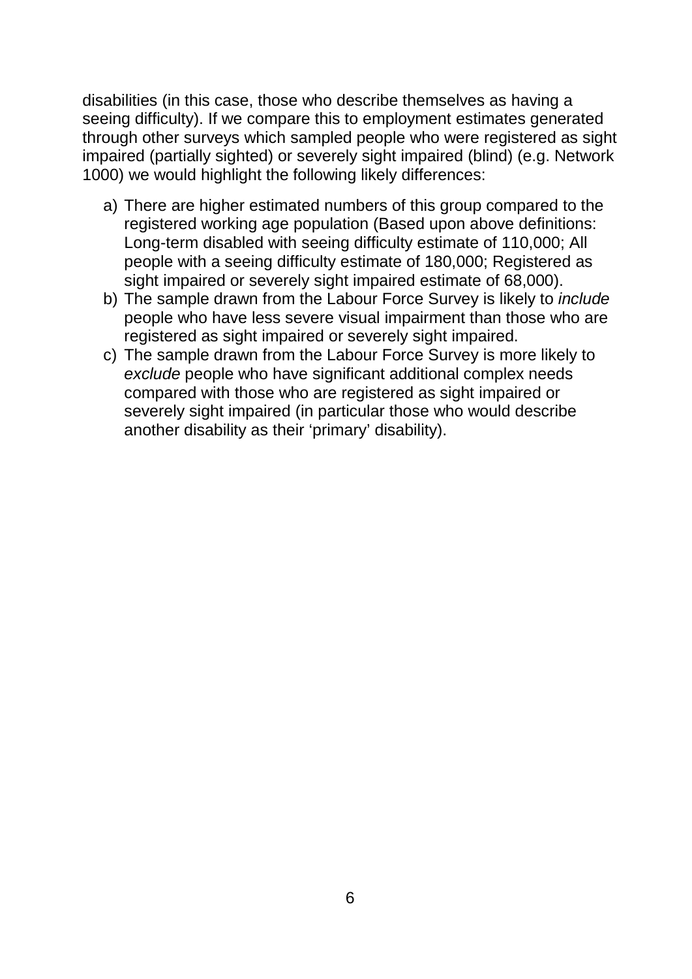disabilities (in this case, those who describe themselves as having a seeing difficulty). If we compare this to employment estimates generated through other surveys which sampled people who were registered as sight impaired (partially sighted) or severely sight impaired (blind) (e.g. Network 1000) we would highlight the following likely differences:

- a) There are higher estimated numbers of this group compared to the registered working age population (Based upon above definitions: Long-term disabled with seeing difficulty estimate of 110,000; All people with a seeing difficulty estimate of 180,000; Registered as sight impaired or severely sight impaired estimate of 68,000).
- b) The sample drawn from the Labour Force Survey is likely to *include* people who have less severe visual impairment than those who are registered as sight impaired or severely sight impaired.
- c) The sample drawn from the Labour Force Survey is more likely to *exclude* people who have significant additional complex needs compared with those who are registered as sight impaired or severely sight impaired (in particular those who would describe another disability as their 'primary' disability).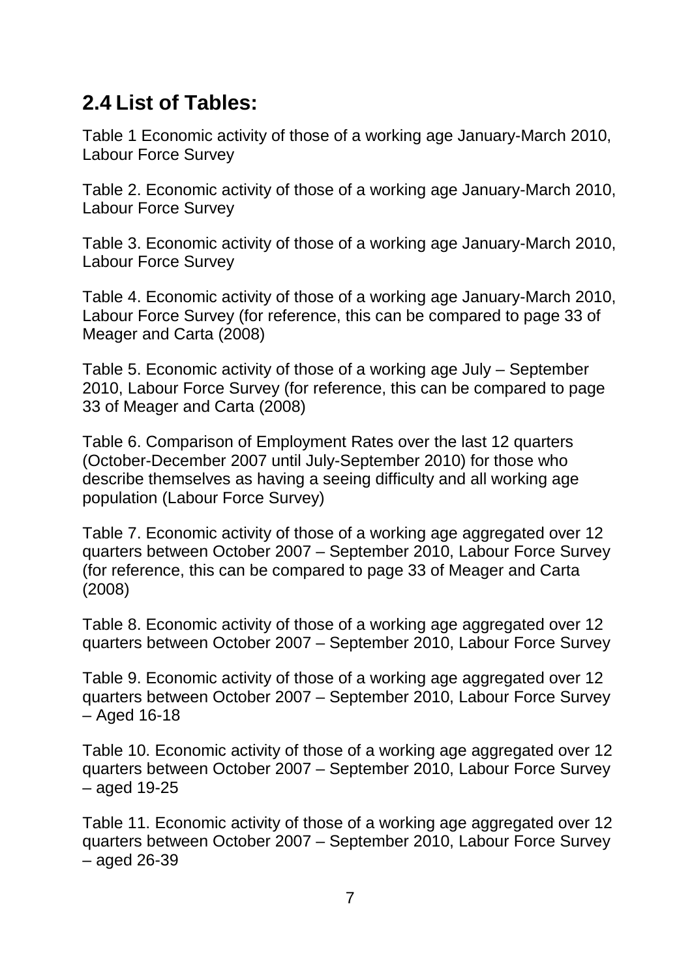## **2.4 List of Tables:**

[Table 1 Economic activity of those of a working age January-March 2010,](#page-10-0)  [Labour Force Survey](#page-10-0)

[Table 2. Economic activity of those of a working age January-March 2010,](#page-10-1)  [Labour Force Survey](#page-10-1)

[Table 3. Economic activity of those of a working age January-March 2010,](#page-11-0)  [Labour Force Survey](#page-11-0)

[Table 4. Economic activity of those of a working age January-March 2010,](#page-13-0)  [Labour Force Survey \(for reference, this can be compared to page 33 of](#page-13-0)  [Meager and Carta \(2008\)](#page-13-0)

[Table 5. Economic activity of those of a working age July –](#page-14-0) September [2010, Labour Force Survey \(for reference, this can be compared to page](#page-14-0)  [33 of Meager and Carta \(2008\)](#page-14-0)

[Table 6. Comparison of Employment Rates over the last 12 quarters](#page-16-0)  [\(October-December 2007 until July-September 2010\) for those who](#page-16-0)  [describe themselves as having a seeing difficulty and all working age](#page-16-0)  [population \(Labour Force Survey\)](#page-16-0)

[Table 7. Economic activity of those of a working age aggregated over](#page-17-0) 12 quarters between October 2007 – [September 2010, Labour Force Survey](#page-17-0)  [\(for reference, this can be compared to page 33 of Meager and Carta](#page-17-0)  [\(2008\)](#page-17-0)

[Table 8. Economic activity of those of a working age aggregated over 12](#page-18-0)  quarters between October 2007 – [September 2010, Labour Force Survey](#page-18-0)

[Table 9. Economic activity of those of a working age aggregated over 12](#page-20-0)  quarters between October 2007 – [September 2010, Labour Force Survey](#page-20-0)  – [Aged 16-18](#page-20-0)

[Table 10. Economic activity of those of a working age aggregated over 12](#page-21-0)  quarters between October 2007 – [September 2010, Labour Force Survey](#page-21-0)  – [aged 19-25](#page-21-0)

[Table 11. Economic activity of those of a working age aggregated over 12](#page-22-0)  quarters between October 2007 – [September 2010, Labour Force Survey](#page-22-0)  – [aged 26-39](#page-22-0)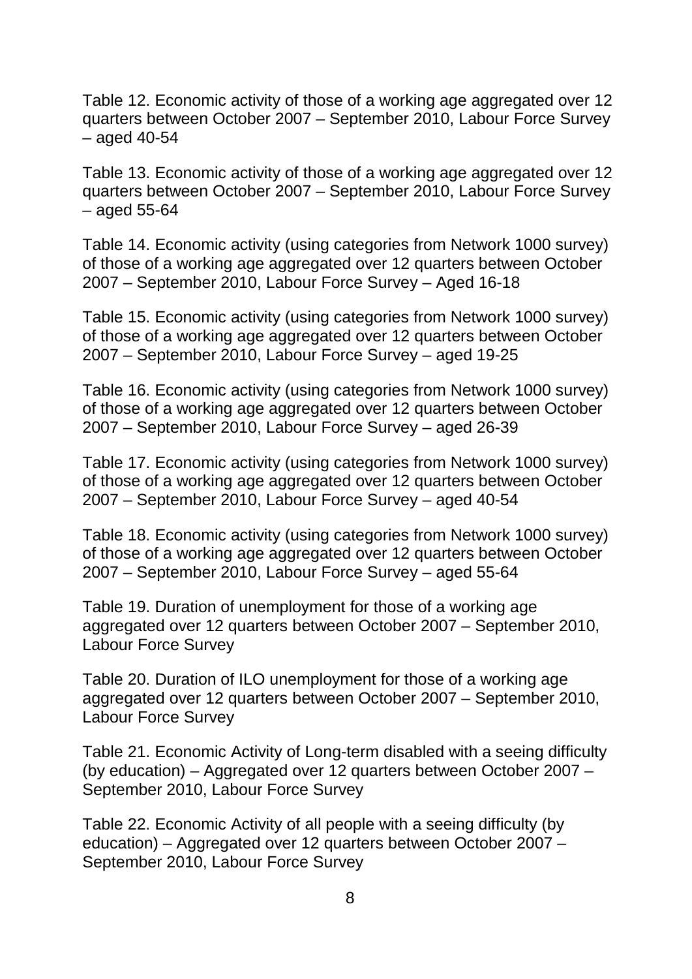[Table 12. Economic activity of those of a working age aggregated over 12](#page-23-0)  quarters between October 2007 – [September 2010, Labour Force Survey](#page-23-0)  – [aged 40-54](#page-23-0)

[Table 13. Economic activity of those of a working age aggregated over 12](#page-24-0)  quarters between October 2007 – [September 2010, Labour Force Survey](#page-24-0)  – [aged 55-64](#page-24-0)

[Table 14. Economic activity \(using categories from Network 1000 survey\)](#page-25-0)  [of those of a working age aggregated over 12 quarters between October](#page-25-0)  2007 – [September 2010, Labour Force Survey –](#page-25-0) Aged 16-18

Table 15. Economic activity (using [categories from Network 1000 survey\)](#page-26-0)  [of those of a working age aggregated over 12 quarters between October](#page-26-0)  2007 – [September 2010, Labour Force Survey –](#page-26-0) aged 19-25

[Table 16. Economic activity \(using categories from Network 1000 survey\)](#page-27-0)  [of those of a working age aggregated over 12 quarters between October](#page-27-0)  2007 – [September 2010, Labour Force Survey –](#page-27-0) aged 26-39

[Table 17. Economic activity \(using categories from Network 1000 survey\)](#page-28-0)  [of those of a working age aggregated over 12 quarters between October](#page-28-0)  2007 – [September 2010, Labour Force Survey –](#page-28-0) aged 40-54

[Table 18. Economic activity \(using categories from Network 1000 survey\)](#page-29-0)  [of those of a working age aggregated over 12 quarters between October](#page-29-0)  2007 – [September 2010, Labour Force Survey –](#page-29-0) aged 55-64

[Table 19. Duration of unemployment for those of a working age](#page-30-0)  [aggregated over 12 quarters between October 2007 –](#page-30-0) September 2010, [Labour Force Survey](#page-30-0)

[Table 20. Duration of ILO unemployment for those of a working age](#page-30-1)  [aggregated over 12 quarters between October 2007 –](#page-30-1) September 2010, [Labour Force Survey](#page-30-1)

[Table 21. Economic Activity of Long-term disabled with a seeing difficulty](#page-31-0)  (by education) – [Aggregated over 12 quarters between October 2007 –](#page-31-0) [September 2010, Labour Force Survey](#page-31-0)

[Table 22. Economic Activity of all people with a seeing difficulty \(by](#page-32-0)  education) – [Aggregated over 12 quarters between October 2007 –](#page-32-0) [September 2010, Labour Force Survey](#page-32-0)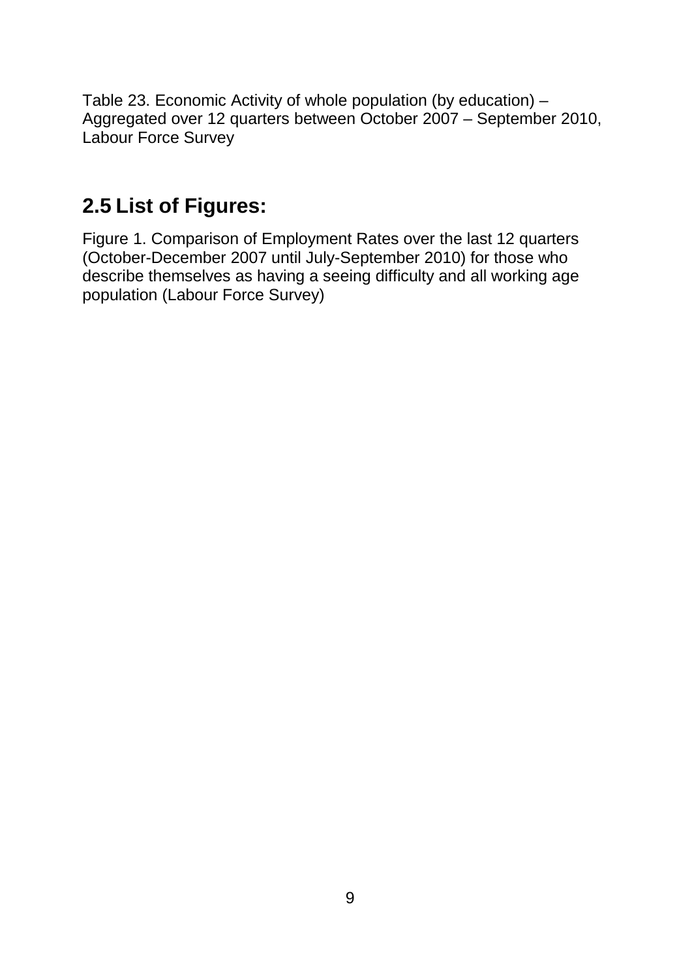[Table 23. Economic Activity of whole population \(by education\) –](#page-33-0) [Aggregated over 12 quarters between October 2007 –](#page-33-0) September 2010, [Labour Force Survey](#page-33-0)

## **2.5 List of Figures:**

[Figure 1. Comparison of Employment Rates over the last 12 quarters](#page-15-0)  [\(October-December 2007 until July-September 2010\) for those who](#page-15-0)  describe themselves as having [a seeing difficulty and all working age](#page-15-0)  [population \(Labour Force Survey\)](#page-15-0)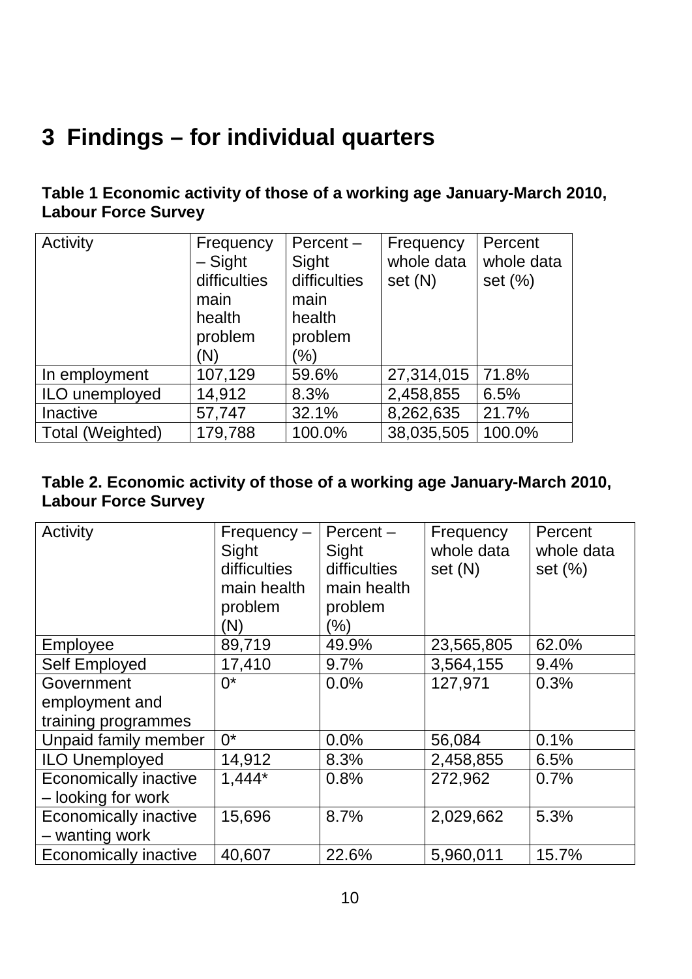## **3 Findings – for individual quarters**

### <span id="page-10-0"></span>**Table 1 Economic activity of those of a working age January-March 2010, Labour Force Survey**

| Activity         | Frequency<br>$-$ Sight<br>difficulties<br>main<br>health<br>problem<br>(N) | $Percent -$<br>Sight<br>difficulties<br>main<br>health<br>problem<br>'%) | Frequency<br>whole data<br>set (N) | Percent<br>whole data<br>set $(\%)$ |
|------------------|----------------------------------------------------------------------------|--------------------------------------------------------------------------|------------------------------------|-------------------------------------|
| In employment    | 107,129                                                                    | 59.6%                                                                    | 27,314,015                         | 71.8%                               |
| ILO unemployed   | 14,912                                                                     | 8.3%                                                                     | 2,458,855                          | 6.5%                                |
| Inactive         | 57,747                                                                     | 32.1%                                                                    | 8,262,635                          | 21.7%                               |
| Total (Weighted) | 179,788                                                                    | 100.0%                                                                   | 38,035,505                         | 100.0%                              |

#### <span id="page-10-1"></span>**Table 2. Economic activity of those of a working age January-March 2010, Labour Force Survey**

| Activity              | $Frequency -$<br>Sight<br>difficulties<br>main health<br>problem<br>(N) | $Percent -$<br>Sight<br>difficulties<br>main health<br>problem<br>(%) | Frequency<br>whole data<br>set (N) | Percent<br>whole data<br>set $(\%)$ |
|-----------------------|-------------------------------------------------------------------------|-----------------------------------------------------------------------|------------------------------------|-------------------------------------|
| Employee              | 89,719                                                                  | 49.9%                                                                 | 23,565,805                         | 62.0%                               |
| <b>Self Employed</b>  | 17,410                                                                  | 9.7%                                                                  | 3,564,155                          | 9.4%                                |
| Government            | $0^*$                                                                   | 0.0%                                                                  | 127,971                            | 0.3%                                |
| employment and        |                                                                         |                                                                       |                                    |                                     |
| training programmes   |                                                                         |                                                                       |                                    |                                     |
| Unpaid family member  | $0^*$                                                                   | 0.0%                                                                  | 56,084                             | 0.1%                                |
| <b>ILO Unemployed</b> | 14,912                                                                  | 8.3%                                                                  | 2,458,855                          | 6.5%                                |
| Economically inactive | $1,444*$                                                                | 0.8%                                                                  | 272,962                            | 0.7%                                |
| - looking for work    |                                                                         |                                                                       |                                    |                                     |
| Economically inactive | 15,696                                                                  | 8.7%                                                                  | 2,029,662                          | 5.3%                                |
| - wanting work        |                                                                         |                                                                       |                                    |                                     |
| Economically inactive | 40,607                                                                  | 22.6%                                                                 | 5,960,011                          | 15.7%                               |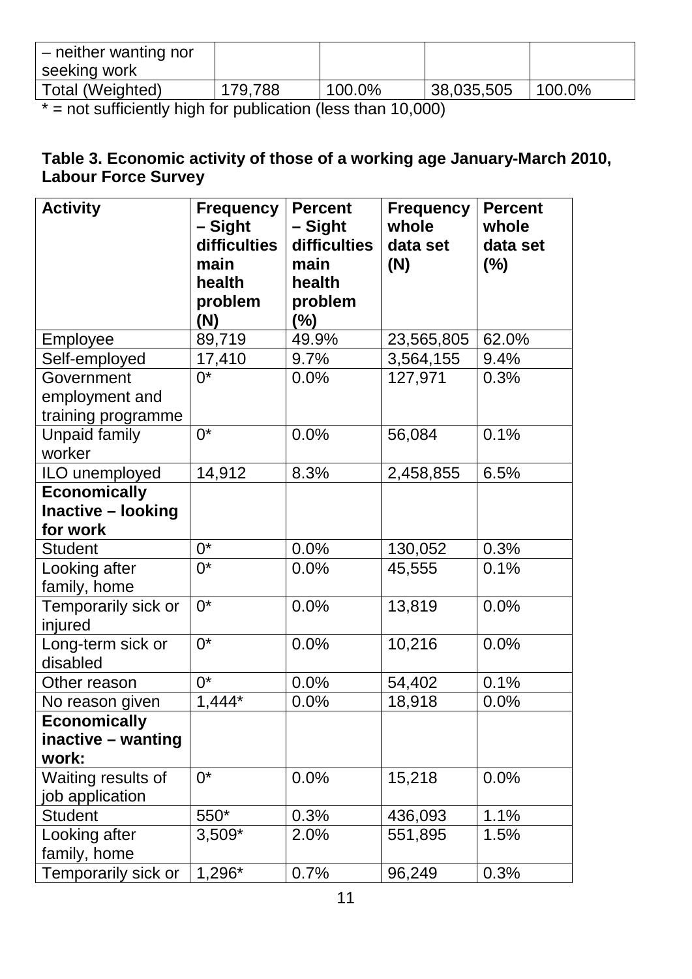| - neither wanting nor                                                                                                                                                                                                          |         |                                                   |            |        |
|--------------------------------------------------------------------------------------------------------------------------------------------------------------------------------------------------------------------------------|---------|---------------------------------------------------|------------|--------|
| seeking work                                                                                                                                                                                                                   |         |                                                   |            |        |
| Total (Weighted)                                                                                                                                                                                                               | 179,788 | 100.0%                                            | 38,035,505 | 100.0% |
| and the contract of the contract of the contract of the contract of the contract of the contract of the contract of the contract of the contract of the contract of the contract of the contract of the contract of the contra |         | $\lambda$ $\lambda$ $\lambda$ $\lambda$ $\lambda$ |            |        |

 $* =$  not sufficiently high for publication (less than 10,000)

#### <span id="page-11-0"></span>**Table 3. Economic activity of those of a working age January-March 2010, Labour Force Survey**

| <b>Activity</b>      | <b>Frequency</b><br><b>Percent</b> |                   | <b>Frequency</b> | <b>Percent</b> |
|----------------------|------------------------------------|-------------------|------------------|----------------|
|                      | - Sight                            | - Sight           | whole            | whole          |
|                      | difficulties                       | difficulties      | data set         | data set       |
|                      | main                               | main              | (N)              | (%)            |
|                      | health                             | health            |                  |                |
|                      | problem<br>(N)                     | problem<br>$(\%)$ |                  |                |
| Employee             | 89,719                             | 49.9%             | 23,565,805       | 62.0%          |
| Self-employed        | 17,410                             | 9.7%              | 3,564,155        | 9.4%           |
| Government           | $0^*$                              | 0.0%              | 127,971          | 0.3%           |
| employment and       |                                    |                   |                  |                |
| training programme   |                                    |                   |                  |                |
| <b>Unpaid family</b> | $0^*$                              | 0.0%              | 56,084           | 0.1%           |
| worker               |                                    |                   |                  |                |
| ILO unemployed       | 14,912                             | 8.3%              | 2,458,855        | 6.5%           |
| <b>Economically</b>  |                                    |                   |                  |                |
| Inactive - looking   |                                    |                   |                  |                |
| for work             |                                    |                   |                  |                |
| <b>Student</b>       | $0^*$                              | 0.0%              | 130,052          | 0.3%           |
| Looking after        | $0^*$                              | 0.0%              | 45,555           | 0.1%           |
| family, home         |                                    |                   |                  |                |
| Temporarily sick or  | $0^*$                              | 0.0%              | 13,819           | 0.0%           |
| injured              |                                    |                   |                  |                |
| Long-term sick or    | $\overline{0^*}$                   | 0.0%              | 10,216           | 0.0%           |
| disabled             |                                    |                   |                  |                |
| Other reason         | $0^*$                              | 0.0%              | 54,402           | 0.1%           |
| No reason given      | $1,444*$                           | 0.0%              | 18,918           | 0.0%           |
| <b>Economically</b>  |                                    |                   |                  |                |
| inactive – wanting   |                                    |                   |                  |                |
| work:                |                                    |                   |                  |                |
| Waiting results of   | $0^*$                              | 0.0%              | 15,218           | 0.0%           |
| job application      |                                    |                   |                  |                |
| <b>Student</b>       | 550*                               | 0.3%              | 436,093          | 1.1%           |
| Looking after        | $3,509*$                           | 2.0%              | 551,895          | 1.5%           |
| family, home         |                                    |                   |                  |                |
| Temporarily sick or  | 1,296*                             | 0.7%              | 96,249           | 0.3%           |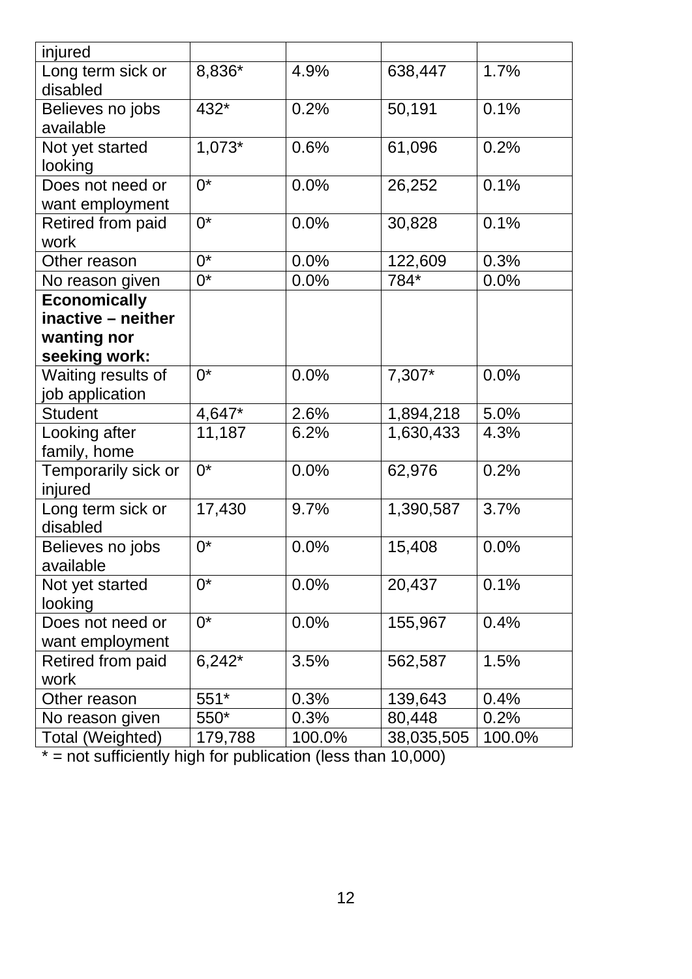| injured                        |                  |        |            |        |
|--------------------------------|------------------|--------|------------|--------|
| Long term sick or<br>disabled  | 8,836*           | 4.9%   | 638,447    | 1.7%   |
| Believes no jobs               | 432*             | 0.2%   | 50,191     | 0.1%   |
| available                      |                  |        |            |        |
| Not yet started                | $1,073*$         | 0.6%   | 61,096     | 0.2%   |
| looking                        |                  |        |            |        |
| Does not need or               | $0^*$            | 0.0%   | 26,252     | 0.1%   |
| want employment                |                  |        |            |        |
| Retired from paid<br>work      | $\overline{0^*}$ | 0.0%   | 30,828     | 0.1%   |
| Other reason                   | $0^*$            | 0.0%   | 122,609    | 0.3%   |
| No reason given                | $0^*$            | 0.0%   | 784*       | 0.0%   |
| <b>Economically</b>            |                  |        |            |        |
| inactive - neither             |                  |        |            |        |
| wanting nor                    |                  |        |            |        |
| seeking work:                  |                  |        |            |        |
| Waiting results of             | $0^*$            | 0.0%   | 7,307*     | 0.0%   |
| job application                |                  |        |            |        |
| <b>Student</b>                 | 4,647*           | 2.6%   | 1,894,218  | 5.0%   |
| Looking after                  | 11,187           | 6.2%   | 1,630,433  | 4.3%   |
| family, home                   |                  |        |            |        |
| Temporarily sick or<br>injured | $0^*$            | 0.0%   | 62,976     | 0.2%   |
| Long term sick or<br>disabled  | 17,430           | 9.7%   | 1,390,587  | 3.7%   |
| Believes no jobs<br>available  | $0^*$            | 0.0%   | 15,408     | 0.0%   |
| Not yet started<br>looking     | $0^*$            | 0.0%   | 20,437     | 0.1%   |
| Does not need or               | $0^*$            | 0.0%   | 155,967    | 0.4%   |
| want employment                |                  |        |            |        |
| Retired from paid              | $6,242*$         | 3.5%   | 562,587    | 1.5%   |
| work                           |                  |        |            |        |
| Other reason                   | 551*             | 0.3%   | 139,643    | 0.4%   |
| No reason given                | 550*             | 0.3%   | 80,448     | 0.2%   |
| Total (Weighted)               | 179,788          | 100.0% | 38,035,505 | 100.0% |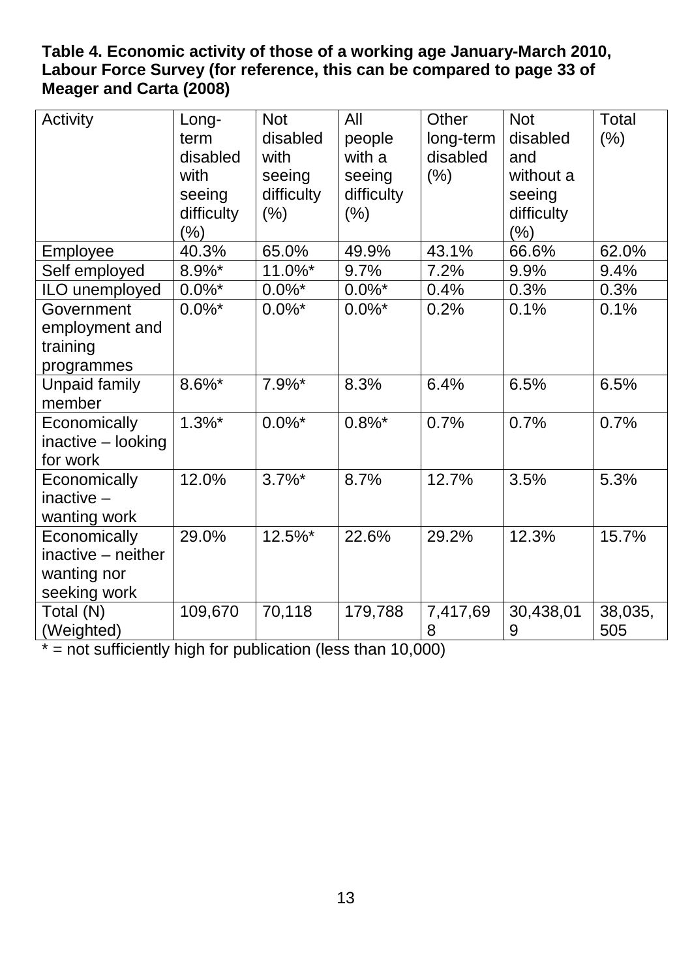### <span id="page-13-0"></span>**Table 4. Economic activity of those of a working age January-March 2010, Labour Force Survey (for reference, this can be compared to page 33 of Meager and Carta (2008)**

| Activity                                                          | Long-<br>term<br>disabled<br>with<br>seeing<br>difficulty<br>$(\%)$ | <b>Not</b><br>disabled<br>with<br>seeing<br>difficulty<br>(% ) | All<br>people<br>with a<br>seeing<br>difficulty<br>(% ) | Other<br>long-term<br>disabled<br>(% ) | <b>Not</b><br>disabled<br>and<br>without a<br>seeing<br>difficulty<br>(% ) | <b>Total</b><br>(% ) |
|-------------------------------------------------------------------|---------------------------------------------------------------------|----------------------------------------------------------------|---------------------------------------------------------|----------------------------------------|----------------------------------------------------------------------------|----------------------|
| Employee                                                          | 40.3%                                                               | 65.0%                                                          | 49.9%                                                   | 43.1%                                  | 66.6%                                                                      | 62.0%                |
| Self employed                                                     | 8.9%*                                                               | 11.0%*                                                         | 9.7%                                                    | 7.2%                                   | 9.9%                                                                       | 9.4%                 |
| ILO unemployed                                                    | $0.0\%$ *                                                           | $0.0\%$ *                                                      | $0.0\%$ *                                               | 0.4%                                   | 0.3%                                                                       | 0.3%                 |
| Government<br>employment and<br>training<br>programmes            | $0.0\%$ *                                                           | $0.0\%$ *                                                      | $0.0\%$ *                                               | 0.2%                                   | 0.1%                                                                       | 0.1%                 |
| <b>Unpaid family</b><br>member                                    | 8.6%*                                                               | $7.9\%$ *                                                      | 8.3%                                                    | 6.4%                                   | 6.5%                                                                       | 6.5%                 |
| Economically<br>$inactive - looking$<br>for work                  | $1.3\%$ *                                                           | $0.0\%$ *                                                      | $0.8\%$ *                                               | 0.7%                                   | 0.7%                                                                       | 0.7%                 |
| Economically<br>inactive $-$<br>wanting work                      | 12.0%                                                               | $3.7\%$ *                                                      | 8.7%                                                    | 12.7%                                  | 3.5%                                                                       | 5.3%                 |
| Economically<br>inactive – neither<br>wanting nor<br>seeking work | 29.0%                                                               | 12.5%*                                                         | 22.6%                                                   | 29.2%                                  | 12.3%                                                                      | 15.7%                |
| Total (N)<br>(Weighted)                                           | 109,670                                                             | 70,118                                                         | 179,788                                                 | 7,417,69<br>8                          | 30,438,01<br>9                                                             | 38,035,<br>505       |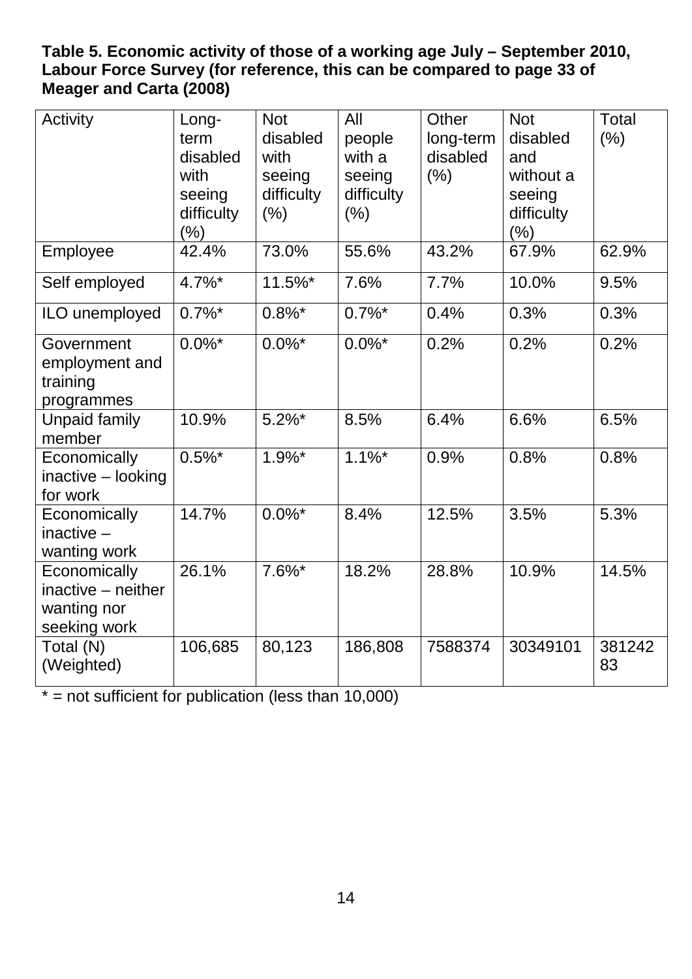### <span id="page-14-0"></span>**Table 5. Economic activity of those of a working age July – September 2010, Labour Force Survey (for reference, this can be compared to page 33 of Meager and Carta (2008)**

| Activity                                                          | Long-<br>term<br>disabled<br>with<br>seeing<br>difficulty<br>$(\% )$ | <b>Not</b><br>disabled<br>with<br>seeing<br>difficulty<br>(% ) | All<br>people<br>with a<br>seeing<br>difficulty<br>$(\% )$ | Other<br>long-term<br>disabled<br>(% ) | <b>Not</b><br>disabled<br>and<br>without a<br>seeing<br>difficulty<br>$(\% )$ | Total<br>(% ) |
|-------------------------------------------------------------------|----------------------------------------------------------------------|----------------------------------------------------------------|------------------------------------------------------------|----------------------------------------|-------------------------------------------------------------------------------|---------------|
| Employee                                                          | 42.4%                                                                | 73.0%                                                          | 55.6%                                                      | 43.2%                                  | 67.9%                                                                         | 62.9%         |
| Self employed                                                     | $4.7\%$ *                                                            | 11.5%*                                                         | 7.6%                                                       | 7.7%                                   | 10.0%                                                                         | 9.5%          |
| ILO unemployed                                                    | $0.7\%$ *                                                            | $0.8\%$ *                                                      | $0.7\%$ *                                                  | 0.4%                                   | 0.3%                                                                          | 0.3%          |
| Government<br>employment and<br>training<br>programmes            | $0.0\%$ *                                                            | $0.0\%$ *                                                      | $0.0\%$ *                                                  | 0.2%                                   | 0.2%                                                                          | 0.2%          |
| <b>Unpaid family</b><br>member                                    | 10.9%                                                                | $5.2\%$ *                                                      | 8.5%                                                       | 6.4%                                   | 6.6%                                                                          | 6.5%          |
| Economically<br>inactive - looking<br>for work                    | $0.5\%$ *                                                            | $1.9%$ *                                                       | $1.1\%$ *                                                  | 0.9%                                   | 0.8%                                                                          | 0.8%          |
| Economically<br>$inactive -$<br>wanting work                      | 14.7%                                                                | $0.0\%$ *                                                      | 8.4%                                                       | 12.5%                                  | 3.5%                                                                          | 5.3%          |
| Economically<br>inactive - neither<br>wanting nor<br>seeking work | 26.1%                                                                | $7.6\%$ *                                                      | 18.2%                                                      | 28.8%                                  | 10.9%                                                                         | 14.5%         |
| Total (N)<br>(Weighted)                                           | 106,685                                                              | 80,123                                                         | 186,808                                                    | 7588374                                | 30349101                                                                      | 381242<br>83  |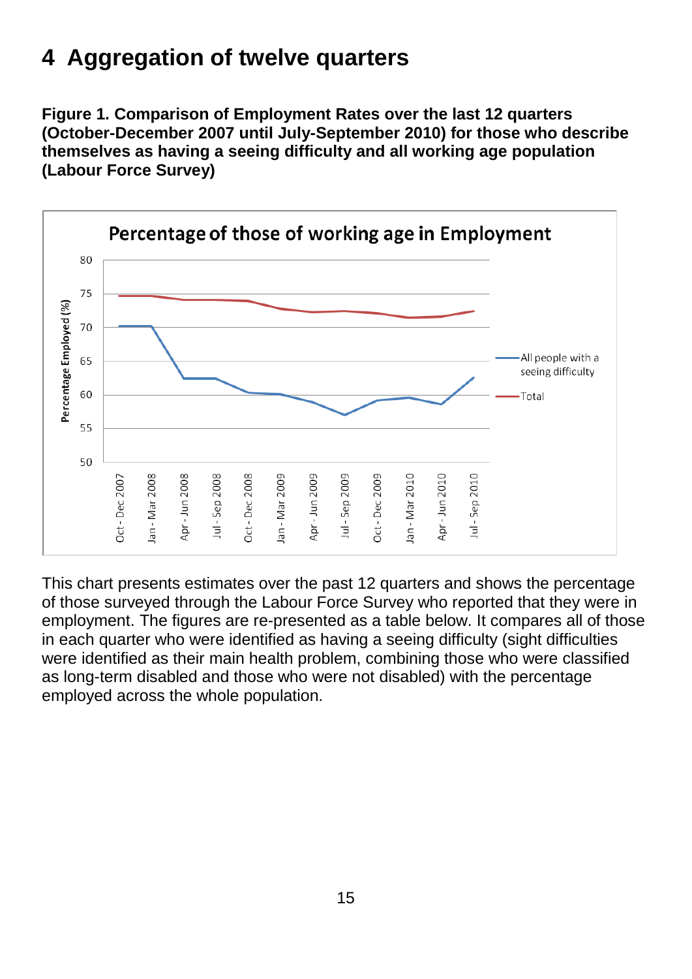## **4 Aggregation of twelve quarters**

<span id="page-15-0"></span>**Figure 1. Comparison of Employment Rates over the last 12 quarters (October-December 2007 until July-September 2010) for those who describe themselves as having a seeing difficulty and all working age population (Labour Force Survey)**



This chart presents estimates over the past 12 quarters and shows the percentage of those surveyed through the Labour Force Survey who reported that they were in employment. The figures are re-presented as a table below. It compares all of those in each quarter who were identified as having a seeing difficulty (sight difficulties were identified as their main health problem, combining those who were classified as long-term disabled and those who were not disabled) with the percentage employed across the whole population.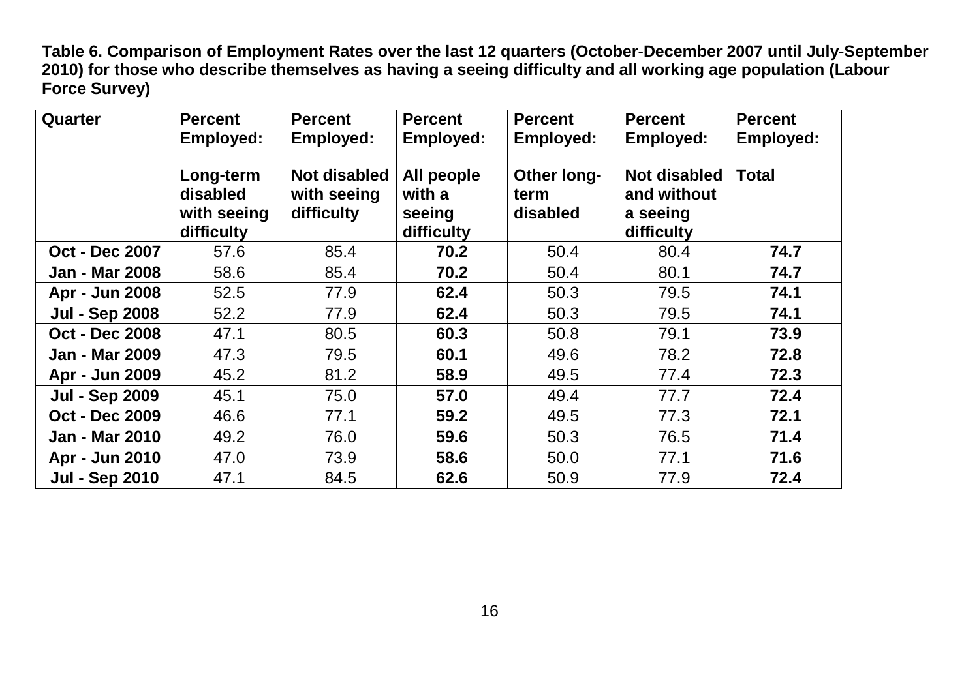**Table 6. Comparison of Employment Rates over the last 12 quarters (October-December 2007 until July-September 2010) for those who describe themselves as having a seeing difficulty and all working age population (Labour Force Survey)**

<span id="page-16-0"></span>

| Quarter               | <b>Percent</b><br><b>Employed:</b>                 | <b>Percent</b><br><b>Employed:</b>               | <b>Percent</b><br>Employed:                  | <b>Percent</b><br><b>Employed:</b>     | <b>Percent</b><br><b>Employed:</b>                           | <b>Percent</b><br><b>Employed:</b> |
|-----------------------|----------------------------------------------------|--------------------------------------------------|----------------------------------------------|----------------------------------------|--------------------------------------------------------------|------------------------------------|
|                       | Long-term<br>disabled<br>with seeing<br>difficulty | <b>Not disabled</b><br>with seeing<br>difficulty | All people<br>with a<br>seeing<br>difficulty | <b>Other long-</b><br>term<br>disabled | <b>Not disabled</b><br>and without<br>a seeing<br>difficulty | <b>Total</b>                       |
| <b>Oct - Dec 2007</b> | 57.6                                               | 85.4                                             | 70.2                                         | 50.4                                   | 80.4                                                         | 74.7                               |
| <b>Jan - Mar 2008</b> | 58.6                                               | 85.4                                             | 70.2                                         | 50.4                                   | 80.1                                                         | 74.7                               |
| Apr - Jun 2008        | 52.5                                               | 77.9                                             | 62.4                                         | 50.3                                   | 79.5                                                         | 74.1                               |
| <b>Jul - Sep 2008</b> | 52.2                                               | 77.9                                             | 62.4                                         | 50.3                                   | 79.5                                                         | 74.1                               |
| <b>Oct - Dec 2008</b> | 47.1                                               | 80.5                                             | 60.3                                         | 50.8                                   | 79.1                                                         | 73.9                               |
| <b>Jan - Mar 2009</b> | 47.3                                               | 79.5                                             | 60.1                                         | 49.6                                   | 78.2                                                         | 72.8                               |
| Apr - Jun 2009        | 45.2                                               | 81.2                                             | 58.9                                         | 49.5                                   | 77.4                                                         | 72.3                               |
| <b>Jul - Sep 2009</b> | 45.1                                               | 75.0                                             | 57.0                                         | 49.4                                   | 77.7                                                         | 72.4                               |
| <b>Oct - Dec 2009</b> | 46.6                                               | 77.1                                             | 59.2                                         | 49.5                                   | 77.3                                                         | 72.1                               |
| <b>Jan - Mar 2010</b> | 49.2                                               | 76.0                                             | 59.6                                         | 50.3                                   | 76.5                                                         | 71.4                               |
| Apr - Jun 2010        | 47.0                                               | 73.9                                             | 58.6                                         | 50.0                                   | 77.1                                                         | 71.6                               |
| <b>Jul - Sep 2010</b> | 47.1                                               | 84.5                                             | 62.6                                         | 50.9                                   | 77.9                                                         | 72.4                               |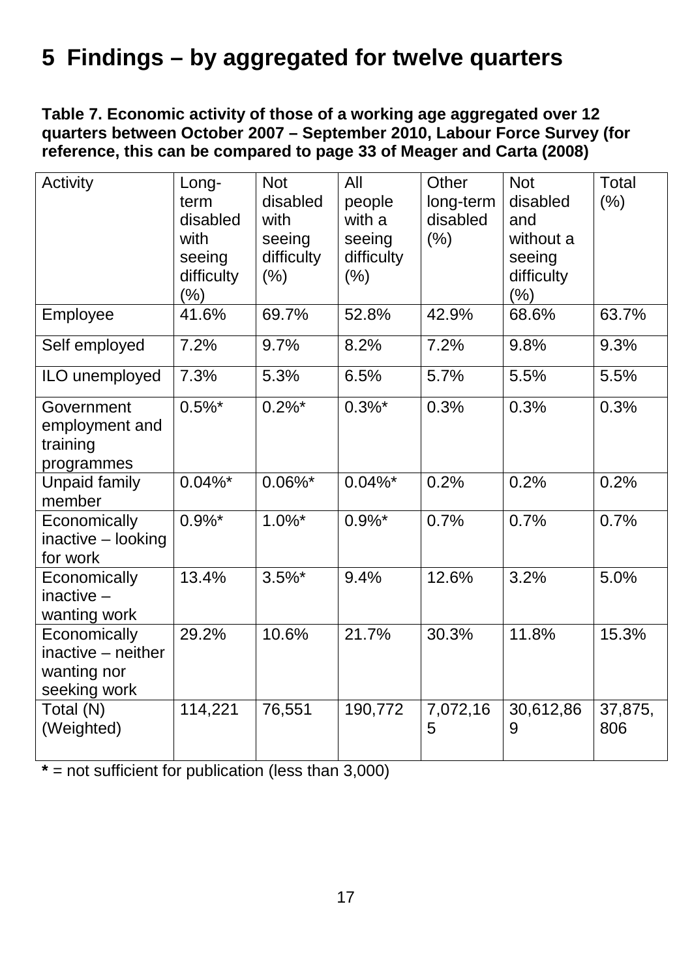## **5 Findings – by aggregated for twelve quarters**

<span id="page-17-0"></span>**Table 7. Economic activity of those of a working age aggregated over 12 quarters between October 2007 – September 2010, Labour Force Survey (for reference, this can be compared to page 33 of Meager and Carta (2008)**

| Activity                                                          | Long-<br>term<br>disabled<br>with<br>seeing<br>difficulty<br>$(\% )$ | <b>Not</b><br>disabled<br>with<br>seeing<br>difficulty<br>(% ) | All<br>people<br>with a<br>seeing<br>difficulty<br>$(\% )$ | Other<br>long-term<br>disabled<br>(% ) | <b>Not</b><br>disabled<br>and<br>without a<br>seeing<br>difficulty<br>$(\% )$ | <b>Total</b><br>(%) |
|-------------------------------------------------------------------|----------------------------------------------------------------------|----------------------------------------------------------------|------------------------------------------------------------|----------------------------------------|-------------------------------------------------------------------------------|---------------------|
| Employee                                                          | 41.6%                                                                | 69.7%                                                          | 52.8%                                                      | 42.9%                                  | 68.6%                                                                         | 63.7%               |
| Self employed                                                     | 7.2%                                                                 | 9.7%                                                           | 8.2%                                                       | 7.2%                                   | 9.8%                                                                          | 9.3%                |
| ILO unemployed                                                    | 7.3%                                                                 | 5.3%                                                           | 6.5%                                                       | 5.7%                                   | 5.5%                                                                          | 5.5%                |
| Government<br>employment and<br>training<br>programmes            | $0.5\%$ *                                                            | $0.2\%$ *                                                      | $0.3\%$ *                                                  | 0.3%                                   | 0.3%                                                                          | 0.3%                |
| Unpaid family<br>member                                           | $0.04\%$ *                                                           | $0.06\%$ *                                                     | $0.04\%$ *                                                 | 0.2%                                   | 0.2%                                                                          | 0.2%                |
| Economically<br>inactive - looking<br>for work                    | $0.9\%$ *                                                            | $1.0\%$ *                                                      | $0.9\%$ *                                                  | 0.7%                                   | 0.7%                                                                          | 0.7%                |
| Economically<br>inactive $-$<br>wanting work                      | 13.4%                                                                | $3.5\%$ *                                                      | 9.4%                                                       | 12.6%                                  | 3.2%                                                                          | 5.0%                |
| Economically<br>inactive – neither<br>wanting nor<br>seeking work | 29.2%                                                                | 10.6%                                                          | 21.7%                                                      | 30.3%                                  | 11.8%                                                                         | 15.3%               |
| Total (N)<br>(Weighted)                                           | 114,221                                                              | 76,551                                                         | 190,772                                                    | 7,072,16<br>5                          | 30,612,86<br>9                                                                | 37,875,<br>806      |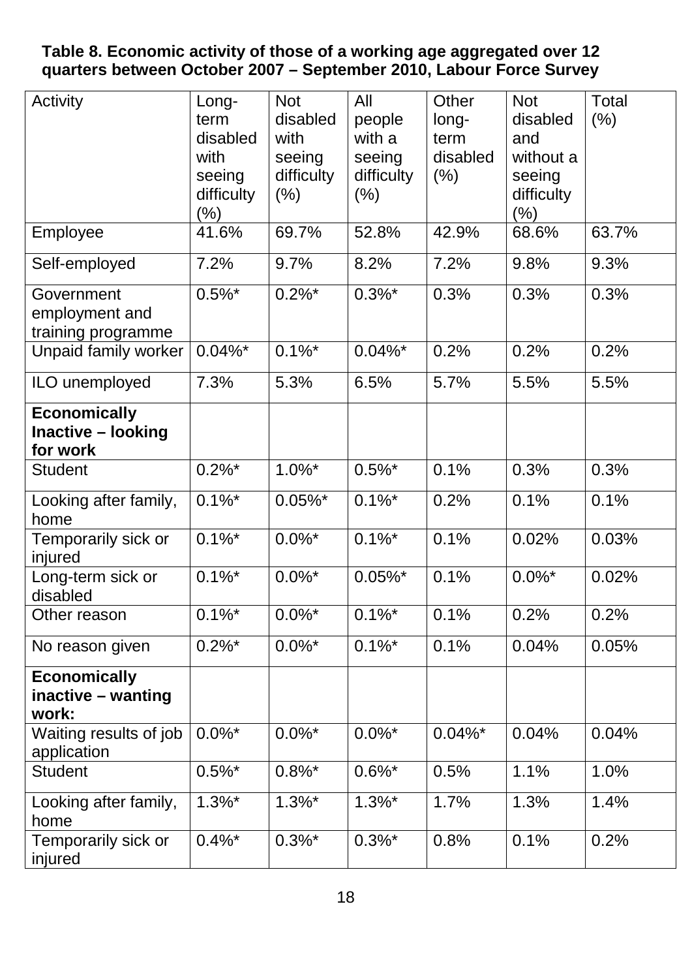#### <span id="page-18-0"></span>**Table 8. Economic activity of those of a working age aggregated over 12 quarters between October 2007 – September 2010, Labour Force Survey**

| Activity                                              | Long-<br>term<br>disabled<br>with<br>seeing<br>difficulty | <b>Not</b><br>disabled<br>with<br>seeing<br>difficulty<br>$(\% )$ | All<br>people<br>with a<br>seeing<br>difficulty<br>$(\% )$ | Other<br>long-<br>term<br>disabled<br>(% ) | <b>Not</b><br>disabled<br>and<br>without a<br>seeing<br>difficulty | Total<br>$(\% )$ |
|-------------------------------------------------------|-----------------------------------------------------------|-------------------------------------------------------------------|------------------------------------------------------------|--------------------------------------------|--------------------------------------------------------------------|------------------|
| Employee                                              | $(\% )$<br>41.6%                                          | 69.7%                                                             | 52.8%                                                      | 42.9%                                      | $(\%)$<br>68.6%                                                    | 63.7%            |
| Self-employed                                         | 7.2%                                                      | 9.7%                                                              | 8.2%                                                       | 7.2%                                       | 9.8%                                                               | 9.3%             |
| Government<br>employment and<br>training programme    | $0.5\%$ *                                                 | $0.2\%$ *                                                         | $0.3\%$ *                                                  | 0.3%                                       | 0.3%                                                               | 0.3%             |
| Unpaid family worker                                  | $0.04\%$ *                                                | $0.1\%$ *                                                         | $0.04\%$ *                                                 | 0.2%                                       | 0.2%                                                               | 0.2%             |
| ILO unemployed                                        | 7.3%                                                      | 5.3%                                                              | 6.5%                                                       | 5.7%                                       | 5.5%                                                               | 5.5%             |
| <b>Economically</b><br>Inactive - looking<br>for work |                                                           |                                                                   |                                                            |                                            |                                                                    |                  |
| <b>Student</b>                                        | $0.2\%$ *                                                 | $1.0\%$ *                                                         | $0.5\%$ *                                                  | 0.1%                                       | 0.3%                                                               | 0.3%             |
| Looking after family,<br>home                         | $0.1\%$ *                                                 | $0.05\%$ *                                                        | $0.1\%$ *                                                  | 0.2%                                       | 0.1%                                                               | 0.1%             |
| Temporarily sick or<br>injured                        | $0.1\%$ *                                                 | $0.0\%$ *                                                         | $0.1\%$ *                                                  | 0.1%                                       | 0.02%                                                              | 0.03%            |
| Long-term sick or<br>disabled                         | $0.1\%$ *                                                 | $0.0\%$ *                                                         | $0.05\%$ *                                                 | 0.1%                                       | $0.0\%$ *                                                          | 0.02%            |
| Other reason                                          | $0.1\%$ <sup>*</sup>                                      | $0.0\%$ <sup>*</sup>                                              | $0.1\%$ <sup>*</sup>                                       | 0.1%                                       | 0.2%                                                               | 0.2%             |
| No reason given                                       | $0.2\%$ *                                                 | $0.0\%$ *                                                         | $0.1\%$ *                                                  | 0.1%                                       | 0.04%                                                              | 0.05%            |
| <b>Economically</b><br>inactive - wanting<br>work:    |                                                           |                                                                   |                                                            |                                            |                                                                    |                  |
| Waiting results of job<br>application                 | $0.0\%$ *                                                 | $0.0\%$ *                                                         | $0.0\%$ *                                                  | $0.04\%$ *                                 | 0.04%                                                              | 0.04%            |
| Student                                               | $0.5\%$ *                                                 | $0.8\%$ *                                                         | $0.6\%$ *                                                  | 0.5%                                       | 1.1%                                                               | 1.0%             |
| Looking after family,<br>home                         | $1.3\%$ *                                                 | $1.3\%$ *                                                         | $1.3\%$ *                                                  | 1.7%                                       | 1.3%                                                               | 1.4%             |
| Temporarily sick or<br>injured                        | $0.4\%$ *                                                 | $0.3\%$ *                                                         | $0.3\%$ *                                                  | 0.8%                                       | 0.1%                                                               | 0.2%             |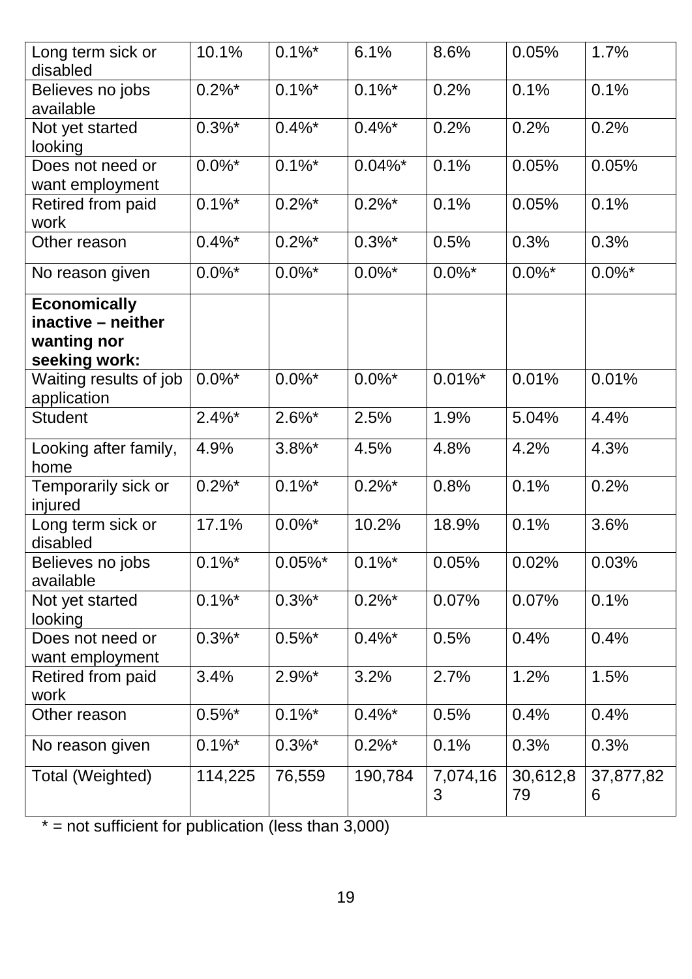| Long term sick or<br>disabled                                             | 10.1%     | $0.1\%$ *  | 6.1%                 | 8.6%          | 0.05%          | 1.7%           |
|---------------------------------------------------------------------------|-----------|------------|----------------------|---------------|----------------|----------------|
| Believes no jobs<br>available                                             | $0.2\%$ * | $0.1\%$ *  | $0.1\%$ *            | 0.2%          | 0.1%           | 0.1%           |
| Not yet started<br>looking                                                | $0.3\%$ * | $0.4\%$ *  | $0.4\%$ *            | 0.2%          | 0.2%           | 0.2%           |
| Does not need or<br>want employment                                       | $0.0\%$ * | $0.1\%$ *  | $0.04\%$ *           | 0.1%          | 0.05%          | 0.05%          |
| <b>Retired from paid</b><br>work                                          | $0.1\%$ * | $0.2\%$ *  | $0.2\%$ *            | 0.1%          | 0.05%          | 0.1%           |
| Other reason                                                              | $0.4\%$ * | $0.2\%$ *  | $0.3\%$ *            | 0.5%          | 0.3%           | 0.3%           |
| No reason given                                                           | $0.0\%$ * | $0.0\%$ *  | $0.0\%$ *            | $0.0\%$ *     | $0.0\%$ *      | $0.0\%$ *      |
| <b>Economically</b><br>inactive - neither<br>wanting nor<br>seeking work: |           |            |                      |               |                |                |
| Waiting results of job<br>application                                     | $0.0\%$ * | $0.0\%$ *  | $0.0\%$ *            | $0.01\%$ *    | 0.01%          | 0.01%          |
| <b>Student</b>                                                            | $2.4\%$ * | $2.6\%$ *  | 2.5%                 | 1.9%          | 5.04%          | 4.4%           |
| Looking after family,<br>home                                             | 4.9%      | $3.8\%$ *  | 4.5%                 | 4.8%          | 4.2%           | 4.3%           |
| Temporarily sick or<br>injured                                            | $0.2\%$ * | $0.1\%$ *  | $0.2\%$ *            | 0.8%          | 0.1%           | 0.2%           |
| Long term sick or<br>disabled                                             | 17.1%     | $0.0\%$ *  | 10.2%                | 18.9%         | 0.1%           | 3.6%           |
| Believes no jobs<br>available                                             | $0.1\%$ * | $0.05\%$ * | $0.1\%$ *            | 0.05%         | 0.02%          | 0.03%          |
| Not yet started<br>looking                                                | $0.1\%$ * | $0.3\%$ *  | $0.2\%$ *            | 0.07%         | 0.07%          | 0.1%           |
| Does not need or<br>want employment                                       | $0.3\%$ * | $0.5\%$ *  | $0.4\%$ *            | 0.5%          | 0.4%           | 0.4%           |
| Retired from paid<br>work                                                 | 3.4%      | $2.9\%$ *  | 3.2%                 | 2.7%          | 1.2%           | 1.5%           |
| Other reason                                                              | $0.5\%$ * | $0.1\%$ *  | $0.4\%$ *            | 0.5%          | 0.4%           | 0.4%           |
| No reason given                                                           | $0.1\%$ * | $0.3\%$ *  | $0.2\%$ <sup>*</sup> | 0.1%          | 0.3%           | 0.3%           |
| Total (Weighted)                                                          | 114,225   | 76,559     | 190,784              | 7,074,16<br>3 | 30,612,8<br>79 | 37,877,82<br>6 |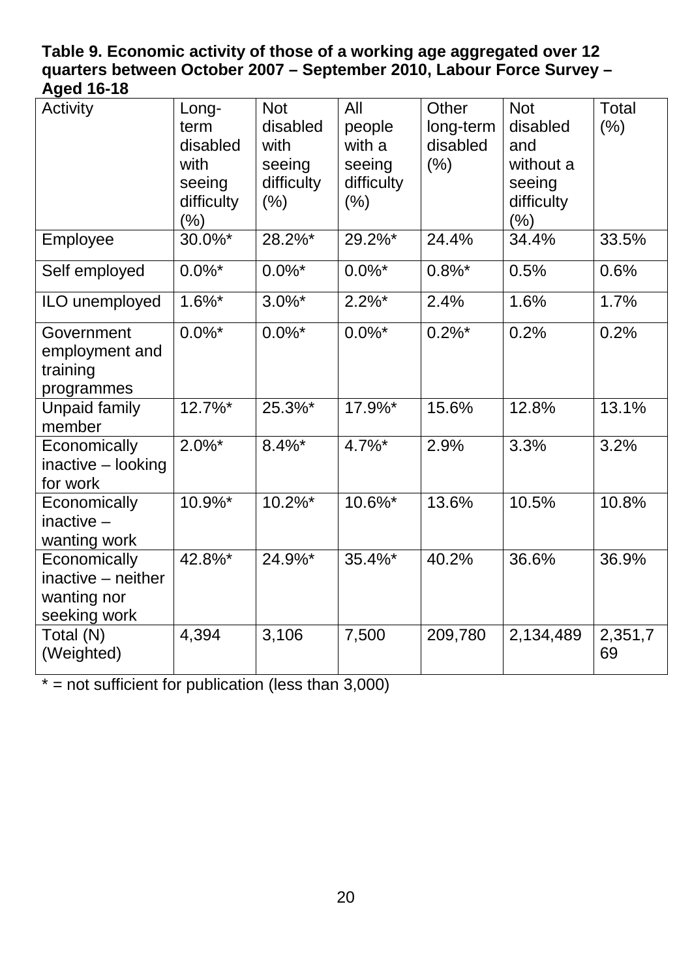#### <span id="page-20-0"></span>**Table 9. Economic activity of those of a working age aggregated over 12 quarters between October 2007 – September 2010, Labour Force Survey – Aged 16-18**

| Activity                                                          | Long-<br>term<br>disabled<br>with<br>seeing<br>difficulty<br>$(\% )$ | <b>Not</b><br>disabled<br>with<br>seeing<br>difficulty<br>(% ) | All<br>people<br>with a<br>seeing<br>difficulty<br>(% ) | Other<br>long-term<br>disabled<br>(% ) | <b>Not</b><br>disabled<br>and<br>without a<br>seeing<br>difficulty<br>(% ) | Total<br>$(\% )$ |
|-------------------------------------------------------------------|----------------------------------------------------------------------|----------------------------------------------------------------|---------------------------------------------------------|----------------------------------------|----------------------------------------------------------------------------|------------------|
| Employee                                                          | 30.0%*                                                               | 28.2%*                                                         | 29.2%*                                                  | 24.4%                                  | 34.4%                                                                      | 33.5%            |
| Self employed                                                     | $0.0\%$ *                                                            | $0.0\%$ *                                                      | $0.0\%$ *                                               | $0.8\%$ *                              | 0.5%                                                                       | 0.6%             |
| ILO unemployed                                                    | $1.6\%$ *                                                            | $3.0\%$ *                                                      | $2.2\%$ *                                               | 2.4%                                   | 1.6%                                                                       | 1.7%             |
| Government<br>employment and<br>training<br>programmes            | $0.0\%$ *                                                            | $0.0\%$ *                                                      | $0.0\%$ *                                               | $0.2\%$ *                              | 0.2%                                                                       | 0.2%             |
| <b>Unpaid family</b><br>member                                    | $12.7\%$ *                                                           | 25.3%*                                                         | 17.9%*                                                  | 15.6%                                  | 12.8%                                                                      | 13.1%            |
| Economically<br>inactive - looking<br>for work                    | $2.0\%$ *                                                            | $8.4\%$ *                                                      | 4.7%*                                                   | 2.9%                                   | 3.3%                                                                       | 3.2%             |
| Economically<br>$inactive -$<br>wanting work                      | 10.9%*                                                               | $10.2\%$ *                                                     | 10.6%*                                                  | 13.6%                                  | 10.5%                                                                      | 10.8%            |
| Economically<br>inactive - neither<br>wanting nor<br>seeking work | 42.8%*                                                               | 24.9%*                                                         | 35.4%*                                                  | 40.2%                                  | 36.6%                                                                      | 36.9%            |
| Total (N)<br>(Weighted)                                           | 4,394                                                                | 3,106                                                          | 7,500                                                   | 209,780                                | 2,134,489                                                                  | 2,351,7<br>69    |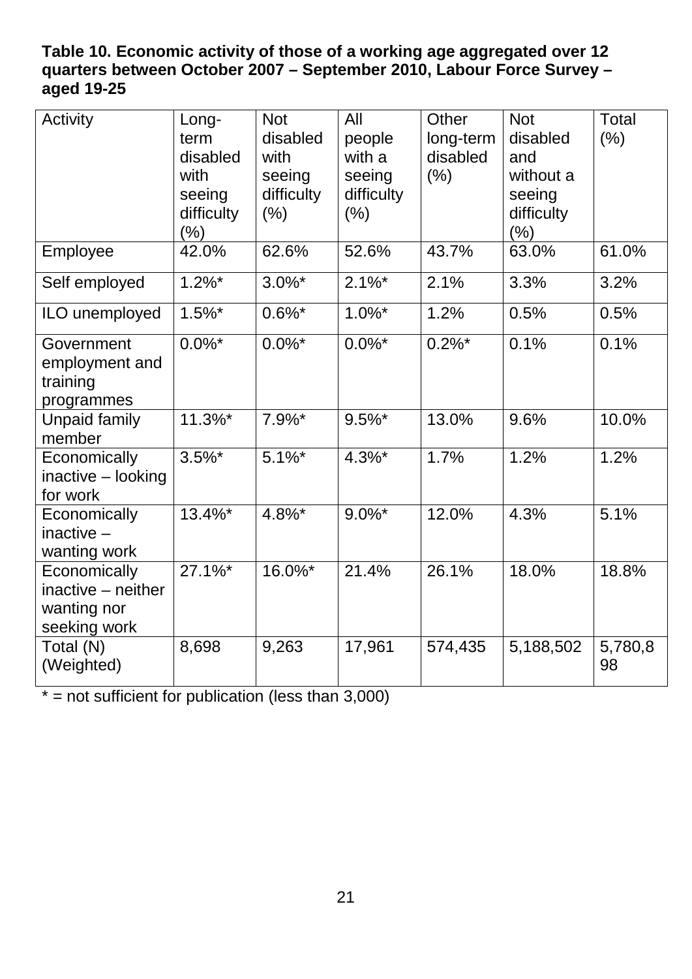### <span id="page-21-0"></span>**Table 10. Economic activity of those of a working age aggregated over 12 quarters between October 2007 – September 2010, Labour Force Survey – aged 19-25**

| Activity                                                          | Long-<br>term<br>disabled<br>with<br>seeing<br>difficulty<br>$(\% )$ | <b>Not</b><br>disabled<br>with<br>seeing<br>difficulty<br>(% ) | All<br>people<br>with a<br>seeing<br>difficulty<br>(% ) | Other<br>long-term<br>disabled<br>(% ) | <b>Not</b><br>disabled<br>and<br>without a<br>seeing<br>difficulty<br>(% ) | <b>Total</b><br>(% ) |
|-------------------------------------------------------------------|----------------------------------------------------------------------|----------------------------------------------------------------|---------------------------------------------------------|----------------------------------------|----------------------------------------------------------------------------|----------------------|
| Employee                                                          | 42.0%                                                                | 62.6%                                                          | 52.6%                                                   | 43.7%                                  | 63.0%                                                                      | 61.0%                |
| Self employed                                                     | $1.2\%$ *                                                            | $3.0\%$ *                                                      | $2.1\%$ *                                               | 2.1%                                   | 3.3%                                                                       | 3.2%                 |
| ILO unemployed                                                    | $1.5\%$ *                                                            | $0.6\%$ *                                                      | $1.0\%$ *                                               | 1.2%                                   | 0.5%                                                                       | 0.5%                 |
| Government<br>employment and<br>training<br>programmes            | $0.0\%$ *                                                            | $0.0\%$ *                                                      | $0.0\%$ *                                               | $0.2\%$ *                              | 0.1%                                                                       | 0.1%                 |
| <b>Unpaid family</b><br>member                                    | 11.3%*                                                               | $7.9\%$ *                                                      | $9.5\%$ *                                               | 13.0%                                  | 9.6%                                                                       | 10.0%                |
| Economically<br>inactive - looking<br>for work                    | $3.5\%$ *                                                            | $5.1\%$ *                                                      | $4.3\%$ *                                               | 1.7%                                   | 1.2%                                                                       | 1.2%                 |
| Economically<br>inactive $-$<br>wanting work                      | 13.4%*                                                               | 4.8%*                                                          | $9.0\%$ *                                               | 12.0%                                  | 4.3%                                                                       | 5.1%                 |
| Economically<br>inactive - neither<br>wanting nor<br>seeking work | $27.1\%$ *                                                           | 16.0%*                                                         | 21.4%                                                   | 26.1%                                  | 18.0%                                                                      | 18.8%                |
| Total (N)<br>(Weighted)                                           | 8,698                                                                | 9,263                                                          | 17,961                                                  | 574,435                                | 5,188,502                                                                  | 5,780,8<br>98        |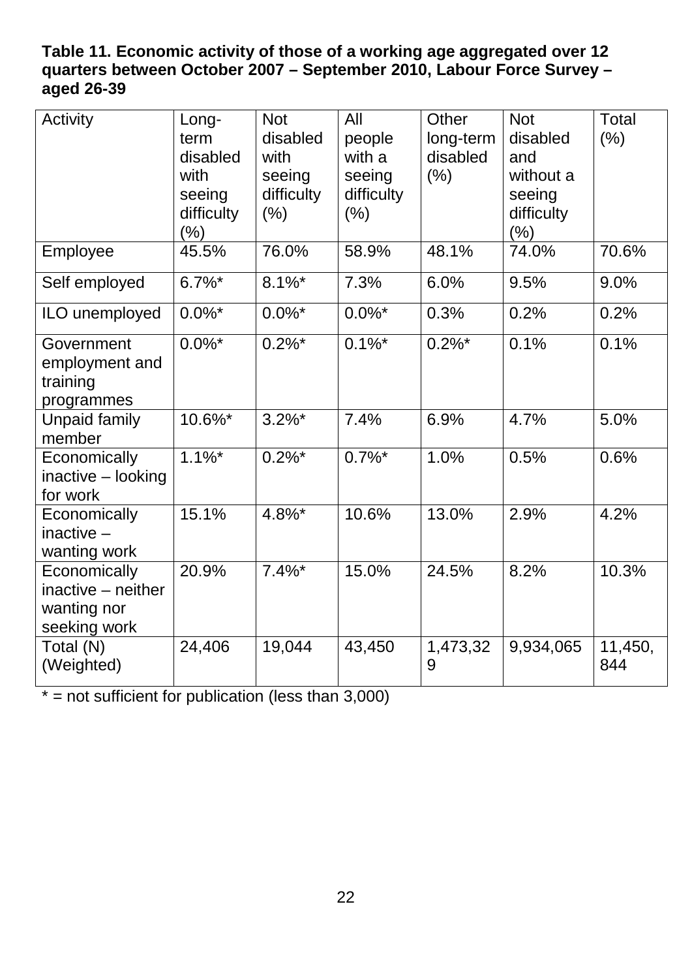### <span id="page-22-0"></span>**Table 11. Economic activity of those of a working age aggregated over 12 quarters between October 2007 – September 2010, Labour Force Survey – aged 26-39**

| Activity                                                          | Long-<br>term<br>disabled<br>with<br>seeing<br>difficulty<br>$(\%)$ | <b>Not</b><br>disabled<br>with<br>seeing<br>difficulty<br>(% ) | All<br>people<br>with a<br>seeing<br>difficulty<br>(% ) | Other<br>long-term<br>disabled<br>(% ) | <b>Not</b><br>disabled<br>and<br>without a<br>seeing<br>difficulty<br>(% ) | <b>Total</b><br>(% ) |
|-------------------------------------------------------------------|---------------------------------------------------------------------|----------------------------------------------------------------|---------------------------------------------------------|----------------------------------------|----------------------------------------------------------------------------|----------------------|
| Employee                                                          | 45.5%                                                               | 76.0%                                                          | 58.9%                                                   | 48.1%                                  | 74.0%                                                                      | 70.6%                |
| Self employed                                                     | $6.7\%$ *                                                           | $8.1\%$ *                                                      | 7.3%                                                    | 6.0%                                   | 9.5%                                                                       | 9.0%                 |
| ILO unemployed                                                    | $0.0\%$ *                                                           | $0.0\%$ *                                                      | $0.0\%$ *                                               | 0.3%                                   | 0.2%                                                                       | 0.2%                 |
| Government<br>employment and<br>training<br>programmes            | $0.0\%$ *                                                           | $0.2\%$ <sup>*</sup>                                           | $0.1\%$ *                                               | $0.2\%$ *                              | 0.1%                                                                       | 0.1%                 |
| <b>Unpaid family</b><br>member                                    | 10.6%*                                                              | $3.2\%$ *                                                      | 7.4%                                                    | 6.9%                                   | 4.7%                                                                       | 5.0%                 |
| Economically<br>inactive - looking<br>for work                    | $1.1\%$ *                                                           | $0.2\%$ <sup>*</sup>                                           | $0.7\%$ <sup>*</sup>                                    | 1.0%                                   | 0.5%                                                                       | 0.6%                 |
| Economically<br>inactive $-$<br>wanting work                      | 15.1%                                                               | 4.8%*                                                          | 10.6%                                                   | 13.0%                                  | 2.9%                                                                       | 4.2%                 |
| Economically<br>inactive - neither<br>wanting nor<br>seeking work | 20.9%                                                               | $7.4\%$ *                                                      | 15.0%                                                   | 24.5%                                  | 8.2%                                                                       | 10.3%                |
| Total (N)<br>(Weighted)                                           | 24,406                                                              | 19,044                                                         | 43,450                                                  | 1,473,32<br>9                          | 9,934,065                                                                  | 11,450,<br>844       |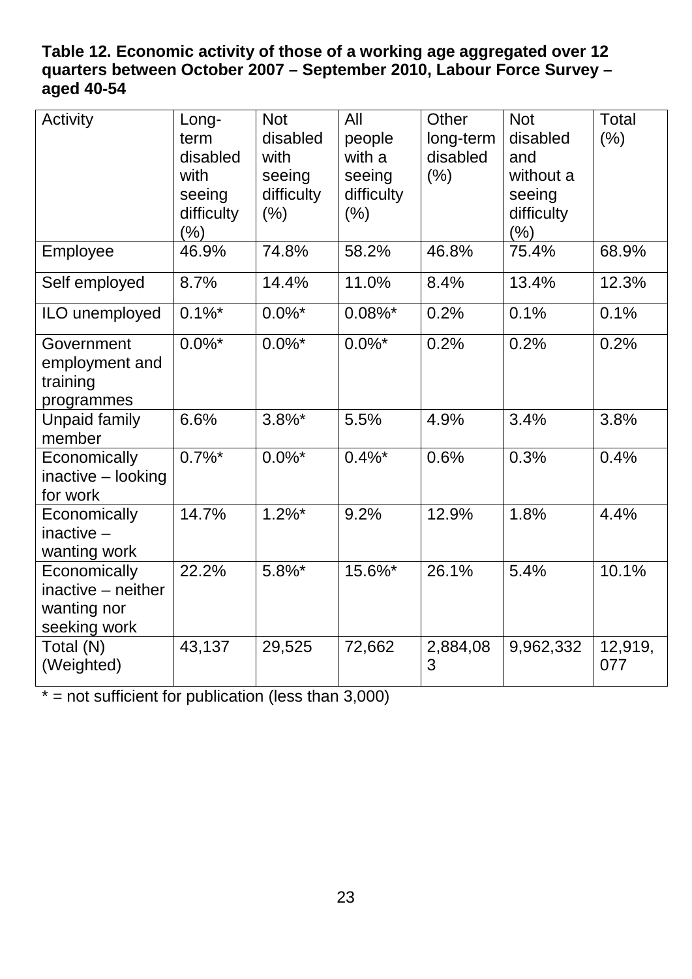### <span id="page-23-0"></span>**Table 12. Economic activity of those of a working age aggregated over 12 quarters between October 2007 – September 2010, Labour Force Survey – aged 40-54**

| Activity                                                          | Long-<br>term<br>disabled<br>with<br>seeing<br>difficulty<br>$(\%)$ | <b>Not</b><br>disabled<br>with<br>seeing<br>difficulty<br>(% ) | All<br>people<br>with a<br>seeing<br>difficulty<br>(% ) | Other<br>long-term<br>disabled<br>(% ) | <b>Not</b><br>disabled<br>and<br>without a<br>seeing<br>difficulty<br>(% ) | <b>Total</b><br>(% ) |
|-------------------------------------------------------------------|---------------------------------------------------------------------|----------------------------------------------------------------|---------------------------------------------------------|----------------------------------------|----------------------------------------------------------------------------|----------------------|
| Employee                                                          | 46.9%                                                               | 74.8%                                                          | 58.2%                                                   | 46.8%                                  | 75.4%                                                                      | 68.9%                |
| Self employed                                                     | 8.7%                                                                | 14.4%                                                          | 11.0%                                                   | 8.4%                                   | 13.4%                                                                      | 12.3%                |
| ILO unemployed                                                    | $0.1\%$ *                                                           | $0.0\%$ *                                                      | $0.08\%$ *                                              | 0.2%                                   | 0.1%                                                                       | 0.1%                 |
| Government<br>employment and<br>training<br>programmes            | $0.0\%$ *                                                           | $0.0\%$ *                                                      | $0.0\%$ *                                               | 0.2%                                   | 0.2%                                                                       | 0.2%                 |
| <b>Unpaid family</b><br>member                                    | 6.6%                                                                | $3.8\%$ *                                                      | 5.5%                                                    | 4.9%                                   | 3.4%                                                                       | 3.8%                 |
| Economically<br>inactive - looking<br>for work                    | $0.7\%$ *                                                           | $0.0\%$ <sup>*</sup>                                           | $0.4\%$ *                                               | 0.6%                                   | 0.3%                                                                       | 0.4%                 |
| Economically<br>inactive $-$<br>wanting work                      | 14.7%                                                               | $1.2\%$ *                                                      | 9.2%                                                    | 12.9%                                  | 1.8%                                                                       | 4.4%                 |
| Economically<br>inactive - neither<br>wanting nor<br>seeking work | 22.2%                                                               | $5.8\%$                                                        | 15.6%*                                                  | 26.1%                                  | 5.4%                                                                       | 10.1%                |
| Total (N)<br>(Weighted)                                           | 43,137                                                              | 29,525                                                         | 72,662                                                  | 2,884,08<br>3                          | 9,962,332                                                                  | 12,919,<br>077       |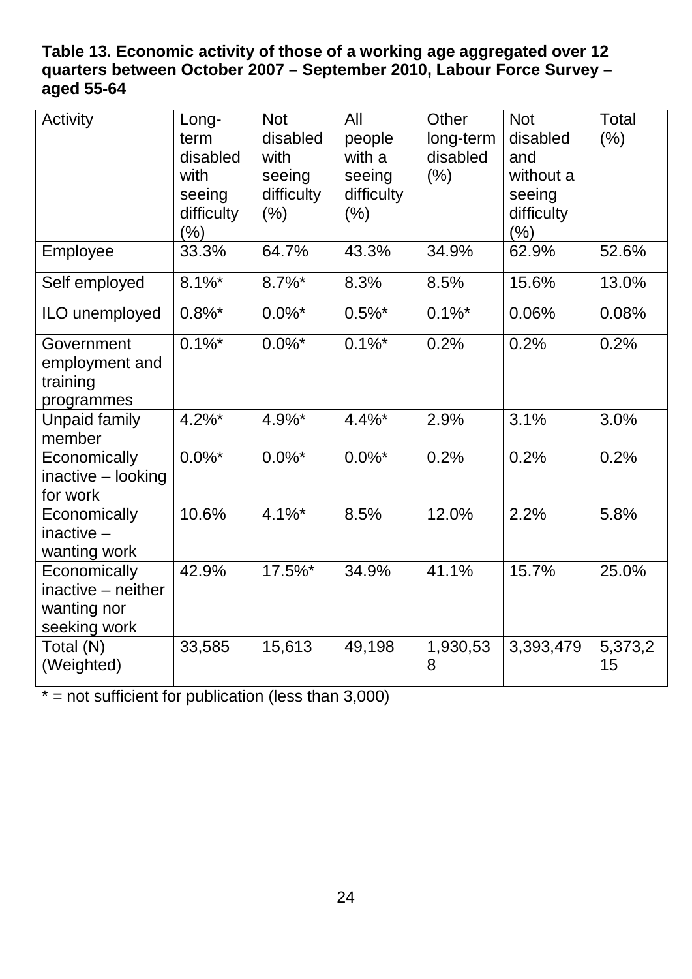### <span id="page-24-0"></span>**Table 13. Economic activity of those of a working age aggregated over 12 quarters between October 2007 – September 2010, Labour Force Survey – aged 55-64**

| Activity                                                          | Long-<br>term<br>disabled<br>with<br>seeing<br>difficulty<br>$(\%)$ | <b>Not</b><br>disabled<br>with<br>seeing<br>difficulty<br>(% ) | All<br>people<br>with a<br>seeing<br>difficulty<br>(% ) | Other<br>long-term<br>disabled<br>(% ) | <b>Not</b><br>disabled<br>and<br>without a<br>seeing<br>difficulty<br>(% ) | <b>Total</b><br>(% ) |
|-------------------------------------------------------------------|---------------------------------------------------------------------|----------------------------------------------------------------|---------------------------------------------------------|----------------------------------------|----------------------------------------------------------------------------|----------------------|
| Employee                                                          | 33.3%                                                               | 64.7%                                                          | 43.3%                                                   | 34.9%                                  | 62.9%                                                                      | 52.6%                |
| Self employed                                                     | $8.1\%$ *                                                           | $8.7\%$ *                                                      | 8.3%                                                    | 8.5%                                   | 15.6%                                                                      | 13.0%                |
| ILO unemployed                                                    | $0.8\%$ *                                                           | $0.0\%$ *                                                      | $0.5\%$ *                                               | $0.1\%$ *                              | 0.06%                                                                      | 0.08%                |
| Government<br>employment and<br>training<br>programmes            | $0.1\%$ *                                                           | $0.0\%$ *                                                      | $0.1\%$ *                                               | 0.2%                                   | 0.2%                                                                       | 0.2%                 |
| <b>Unpaid family</b><br>member                                    | $4.2\%$ *                                                           | 4.9%*                                                          | $4.4\%$ *                                               | 2.9%                                   | 3.1%                                                                       | 3.0%                 |
| Economically<br>inactive - looking<br>for work                    | $0.0\%$ *                                                           | $0.0\%$ <sup>*</sup>                                           | $0.0\%$ *                                               | 0.2%                                   | 0.2%                                                                       | 0.2%                 |
| Economically<br>inactive $-$<br>wanting work                      | 10.6%                                                               | $4.1\%$ *                                                      | 8.5%                                                    | 12.0%                                  | 2.2%                                                                       | 5.8%                 |
| Economically<br>inactive - neither<br>wanting nor<br>seeking work | 42.9%                                                               | 17.5%*                                                         | 34.9%                                                   | 41.1%                                  | 15.7%                                                                      | 25.0%                |
| Total (N)<br>(Weighted)                                           | 33,585                                                              | 15,613                                                         | 49,198                                                  | 1,930,53<br>8                          | 3,393,479                                                                  | 5,373,2<br>15        |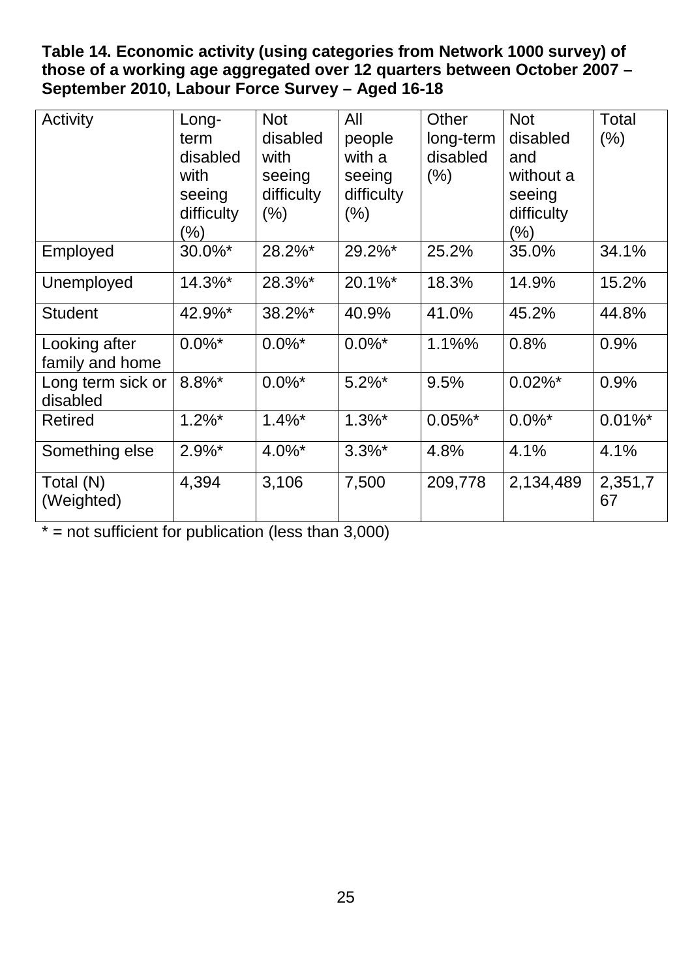<span id="page-25-0"></span>**Table 14. Economic activity (using categories from Network 1000 survey) of those of a working age aggregated over 12 quarters between October 2007 – September 2010, Labour Force Survey – Aged 16-18** 

| Activity                         | Long-<br>term<br>disabled<br>with<br>seeing<br>difficulty<br>$\frac{9}{6}$ | <b>Not</b><br>disabled<br>with<br>seeing<br>difficulty<br>$(\% )$ | All<br>people<br>with a<br>seeing<br>difficulty<br>$(\% )$ | Other<br>long-term<br>disabled<br>$(\% )$ | <b>Not</b><br>disabled<br>and<br>without a<br>seeing<br>difficulty<br>(% ) | Total<br>(% ) |
|----------------------------------|----------------------------------------------------------------------------|-------------------------------------------------------------------|------------------------------------------------------------|-------------------------------------------|----------------------------------------------------------------------------|---------------|
| Employed                         | 30.0%*                                                                     | 28.2%*                                                            | 29.2%*                                                     | 25.2%                                     | 35.0%                                                                      | 34.1%         |
| Unemployed                       | 14.3%*                                                                     | 28.3%*                                                            | 20.1%*                                                     | 18.3%                                     | 14.9%                                                                      | 15.2%         |
| <b>Student</b>                   | 42.9%*                                                                     | 38.2%*                                                            | 40.9%                                                      | 41.0%                                     | 45.2%                                                                      | 44.8%         |
| Looking after<br>family and home | $0.0\%$ *                                                                  | $0.0\%$ <sup>*</sup>                                              | $0.0\%$ *                                                  | 1.1%%                                     | 0.8%                                                                       | 0.9%          |
| Long term sick or<br>disabled    | $8.8\%$ *                                                                  | $0.0\%$ <sup>*</sup>                                              | $5.2\%$ *                                                  | 9.5%                                      | $0.02\%$ *                                                                 | 0.9%          |
| <b>Retired</b>                   | $1.2\%$ *                                                                  | $1.4\%$ *                                                         | $1.3\%$ *                                                  | $0.05\%$ *                                | $0.0\%$ *                                                                  | $0.01\%$ *    |
| Something else                   | $2.9\%$ *                                                                  | $4.0\%$ *                                                         | $3.3\%$ *                                                  | 4.8%                                      | 4.1%                                                                       | 4.1%          |
| Total (N)<br>(Weighted)          | 4,394                                                                      | 3,106                                                             | 7,500                                                      | 209,778                                   | 2,134,489                                                                  | 2,351,7<br>67 |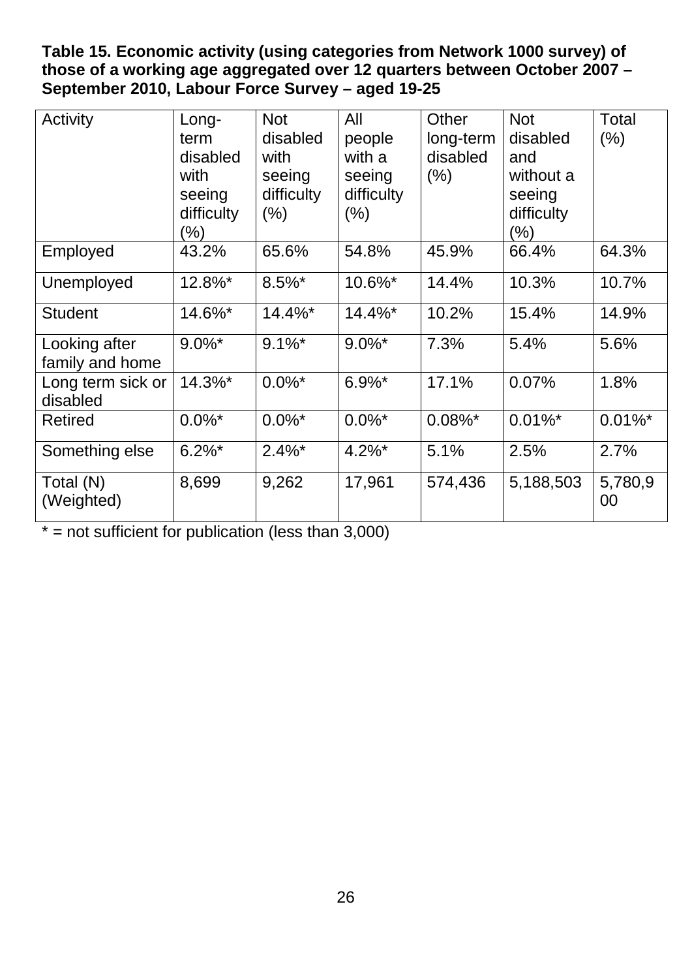<span id="page-26-0"></span>**Table 15. Economic activity (using categories from Network 1000 survey) of those of a working age aggregated over 12 quarters between October 2007 – September 2010, Labour Force Survey – aged 19-25**

| Activity                         | Long-<br>term<br>disabled<br>with<br>seeing<br>difficulty<br>$\frac{9}{6}$ | <b>Not</b><br>disabled<br>with<br>seeing<br>difficulty<br>$(\% )$ | All<br>people<br>with a<br>seeing<br>difficulty<br>$(\% )$ | Other<br>long-term<br>disabled<br>$(\% )$ | <b>Not</b><br>disabled<br>and<br>without a<br>seeing<br>difficulty<br>(%) | <b>Total</b><br>(% ) |
|----------------------------------|----------------------------------------------------------------------------|-------------------------------------------------------------------|------------------------------------------------------------|-------------------------------------------|---------------------------------------------------------------------------|----------------------|
| Employed                         | 43.2%                                                                      | 65.6%                                                             | 54.8%                                                      | 45.9%                                     | 66.4%                                                                     | 64.3%                |
| Unemployed                       | 12.8%*                                                                     | $8.5\%$ *                                                         | 10.6%*                                                     | 14.4%                                     | 10.3%                                                                     | 10.7%                |
| <b>Student</b>                   | 14.6%*                                                                     | $14.4\%$ *                                                        | $14.4\%$ *                                                 | 10.2%                                     | 15.4%                                                                     | 14.9%                |
| Looking after<br>family and home | $9.0\%$ *                                                                  | $9.1\%$ *                                                         | $9.0\%$ *                                                  | 7.3%                                      | 5.4%                                                                      | 5.6%                 |
| Long term sick or<br>disabled    | 14.3%*                                                                     | $0.0\%$ *                                                         | $6.9\%$ *                                                  | 17.1%                                     | 0.07%                                                                     | 1.8%                 |
| <b>Retired</b>                   | $0.0\%$ *                                                                  | $0.0\%$ <sup>*</sup>                                              | $0.0\%$ *                                                  | $0.08\%$ *                                | $0.01\%$ *                                                                | $0.01\%$ *           |
| Something else                   | $6.2\%$ *                                                                  | $2.4\%$ *                                                         | $4.2\%$ *                                                  | 5.1%                                      | 2.5%                                                                      | 2.7%                 |
| Total (N)<br>(Weighted)          | 8,699                                                                      | 9,262                                                             | 17,961                                                     | 574,436                                   | 5,188,503                                                                 | 5,780,9<br>00        |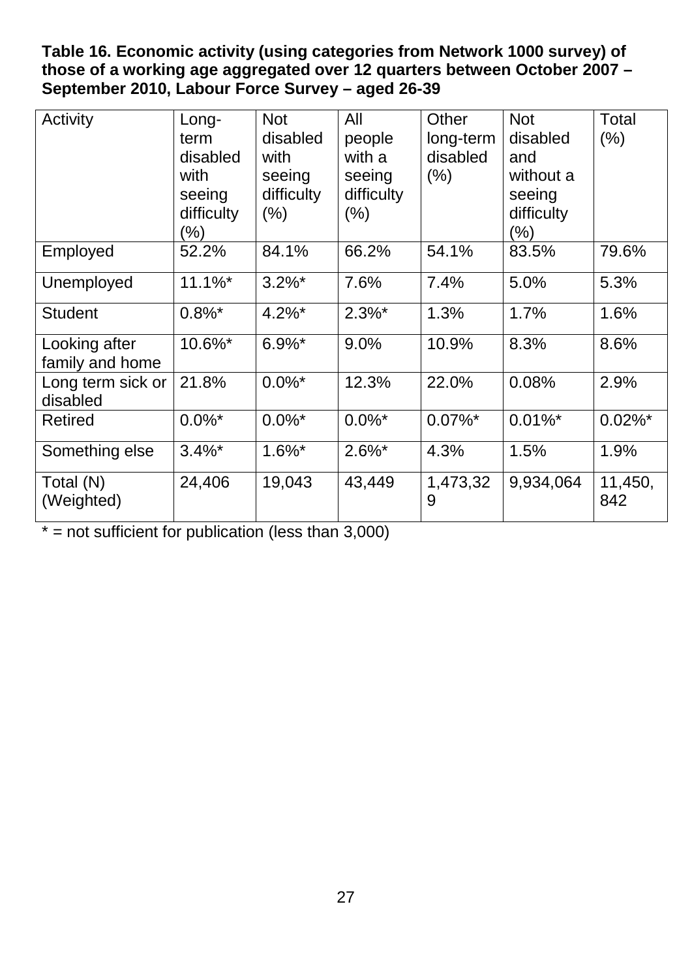<span id="page-27-0"></span>**Table 16. Economic activity (using categories from Network 1000 survey) of those of a working age aggregated over 12 quarters between October 2007 – September 2010, Labour Force Survey – aged 26-39**

| Activity                         | Long-<br>term<br>disabled<br>with<br>seeing<br>difficulty<br>$(\% )$ | <b>Not</b><br>disabled<br>with<br>seeing<br>difficulty<br>$(\% )$ | All<br>people<br>with a<br>seeing<br>difficulty<br>$(\%)$ | Other<br>long-term<br>disabled<br>$(\%)$ | <b>Not</b><br>disabled<br>and<br>without a<br>seeing<br>difficulty<br>$(\% )$ | Total<br>(% )  |
|----------------------------------|----------------------------------------------------------------------|-------------------------------------------------------------------|-----------------------------------------------------------|------------------------------------------|-------------------------------------------------------------------------------|----------------|
| Employed                         | 52.2%                                                                | 84.1%                                                             | 66.2%                                                     | 54.1%                                    | 83.5%                                                                         | 79.6%          |
| Unemployed                       | $11.1\%$ *                                                           | $3.2\%$ *                                                         | 7.6%                                                      | 7.4%                                     | 5.0%                                                                          | 5.3%           |
| <b>Student</b>                   | $0.8\%$ *                                                            | $4.2\%$ *                                                         | $2.3\%$ *                                                 | 1.3%                                     | 1.7%                                                                          | 1.6%           |
| Looking after<br>family and home | 10.6%*                                                               | $6.9\%$ *                                                         | 9.0%                                                      | 10.9%                                    | 8.3%                                                                          | 8.6%           |
| Long term sick or<br>disabled    | 21.8%                                                                | $0.0\%$ *                                                         | 12.3%                                                     | 22.0%                                    | 0.08%                                                                         | 2.9%           |
| <b>Retired</b>                   | $0.0\%$ *                                                            | $0.0\%$ *                                                         | $0.0\%$ *                                                 | $0.07\%$ *                               | $0.01\%$ *                                                                    | $0.02\%$ *     |
| Something else                   | $3.4\%$ *                                                            | $1.6\%$ *                                                         | $2.6\%$ *                                                 | 4.3%                                     | 1.5%                                                                          | 1.9%           |
| Total (N)<br>(Weighted)          | 24,406                                                               | 19,043                                                            | 43,449                                                    | 1,473,32<br>9                            | 9,934,064                                                                     | 11,450,<br>842 |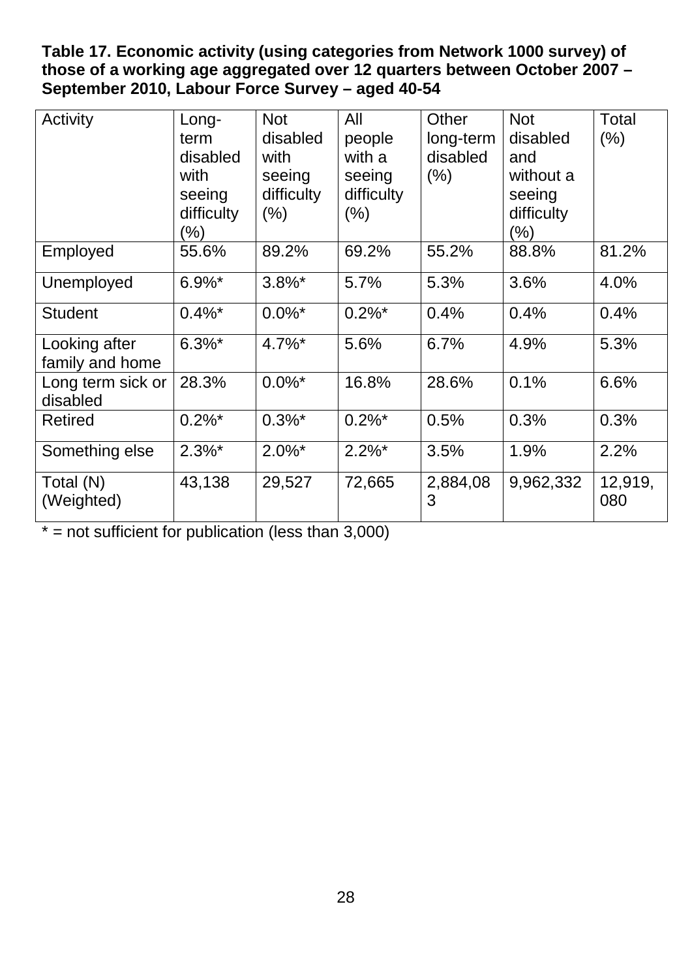<span id="page-28-0"></span>**Table 17. Economic activity (using categories from Network 1000 survey) of those of a working age aggregated over 12 quarters between October 2007 – September 2010, Labour Force Survey – aged 40-54**

| Activity                         | Long-<br>term<br>disabled<br>with<br>seeing<br>difficulty<br>$\frac{9}{6}$ | <b>Not</b><br>disabled<br>with<br>seeing<br>difficulty<br>$(\% )$ | All<br>people<br>with a<br>seeing<br>difficulty<br>$(\% )$ | Other<br>long-term<br>disabled<br>$(\% )$ | <b>Not</b><br>disabled<br>and<br>without a<br>seeing<br>difficulty<br>(% ) | Total<br>(% )  |
|----------------------------------|----------------------------------------------------------------------------|-------------------------------------------------------------------|------------------------------------------------------------|-------------------------------------------|----------------------------------------------------------------------------|----------------|
| Employed                         | 55.6%                                                                      | 89.2%                                                             | 69.2%                                                      | 55.2%                                     | 88.8%                                                                      | 81.2%          |
| Unemployed                       | $6.9\%$ *                                                                  | $3.8\%$ *                                                         | 5.7%                                                       | 5.3%                                      | 3.6%                                                                       | 4.0%           |
| <b>Student</b>                   | $0.4\%$ *                                                                  | $0.0\%$ <sup>*</sup>                                              | $0.2\%$ <sup>*</sup>                                       | 0.4%                                      | 0.4%                                                                       | 0.4%           |
| Looking after<br>family and home | $6.3\%$ *                                                                  | $4.7\%$ <sup>*</sup>                                              | 5.6%                                                       | 6.7%                                      | 4.9%                                                                       | 5.3%           |
| Long term sick or<br>disabled    | 28.3%                                                                      | $0.0\%$ <sup>*</sup>                                              | 16.8%                                                      | 28.6%                                     | 0.1%                                                                       | 6.6%           |
| <b>Retired</b>                   | $0.2\%$ *                                                                  | $0.3\%$ *                                                         | $0.2\%$ *                                                  | 0.5%                                      | 0.3%                                                                       | 0.3%           |
| Something else                   | $2.3\%$ *                                                                  | $2.0\%$ *                                                         | $2.2\%$ *                                                  | 3.5%                                      | 1.9%                                                                       | 2.2%           |
| Total (N)<br>(Weighted)          | 43,138                                                                     | 29,527                                                            | 72,665                                                     | 2,884,08<br>3                             | 9,962,332                                                                  | 12,919,<br>080 |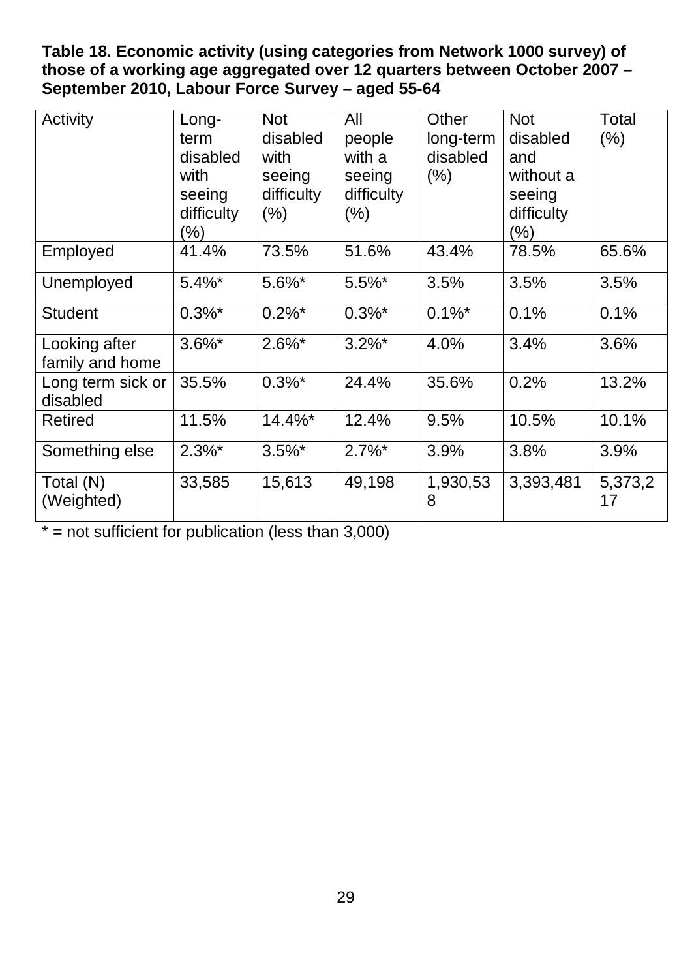<span id="page-29-0"></span>**Table 18. Economic activity (using categories from Network 1000 survey) of those of a working age aggregated over 12 quarters between October 2007 – September 2010, Labour Force Survey – aged 55-64**

| Activity                         | Long-<br>term<br>disabled<br>with<br>seeing<br>difficulty<br>$\frac{9}{6}$ | <b>Not</b><br>disabled<br>with<br>seeing<br>difficulty<br>$(\% )$ | All<br>people<br>with a<br>seeing<br>difficulty<br>$(\% )$ | Other<br>long-term<br>disabled<br>$(\% )$ | <b>Not</b><br>disabled<br>and<br>without a<br>seeing<br>difficulty<br>(% ) | Total<br>(% ) |
|----------------------------------|----------------------------------------------------------------------------|-------------------------------------------------------------------|------------------------------------------------------------|-------------------------------------------|----------------------------------------------------------------------------|---------------|
| Employed                         | 41.4%                                                                      | 73.5%                                                             | 51.6%                                                      | 43.4%                                     | 78.5%                                                                      | 65.6%         |
| Unemployed                       | $5.4\%$ *                                                                  | $5.6\%$ *                                                         | $5.5\%$ *                                                  | 3.5%                                      | 3.5%                                                                       | 3.5%          |
| <b>Student</b>                   | $0.3\%$ *                                                                  | $0.2\%$ <sup>*</sup>                                              | $0.3\%$ *                                                  | $0.1\%$ <sup>*</sup>                      | 0.1%                                                                       | 0.1%          |
| Looking after<br>family and home | $3.6\%$ *                                                                  | $2.6\%$ *                                                         | $3.2\%$ *                                                  | 4.0%                                      | 3.4%                                                                       | 3.6%          |
| Long term sick or<br>disabled    | 35.5%                                                                      | $0.3\%$ *                                                         | 24.4%                                                      | 35.6%                                     | 0.2%                                                                       | 13.2%         |
| <b>Retired</b>                   | 11.5%                                                                      | 14.4%*                                                            | 12.4%                                                      | 9.5%                                      | 10.5%                                                                      | 10.1%         |
| Something else                   | $2.3\%$ *                                                                  | $3.5\%$ *                                                         | $2.7\%$ <sup>*</sup>                                       | 3.9%                                      | 3.8%                                                                       | 3.9%          |
| Total (N)<br>(Weighted)          | 33,585                                                                     | 15,613                                                            | 49,198                                                     | 1,930,53<br>8                             | 3,393,481                                                                  | 5,373,2<br>17 |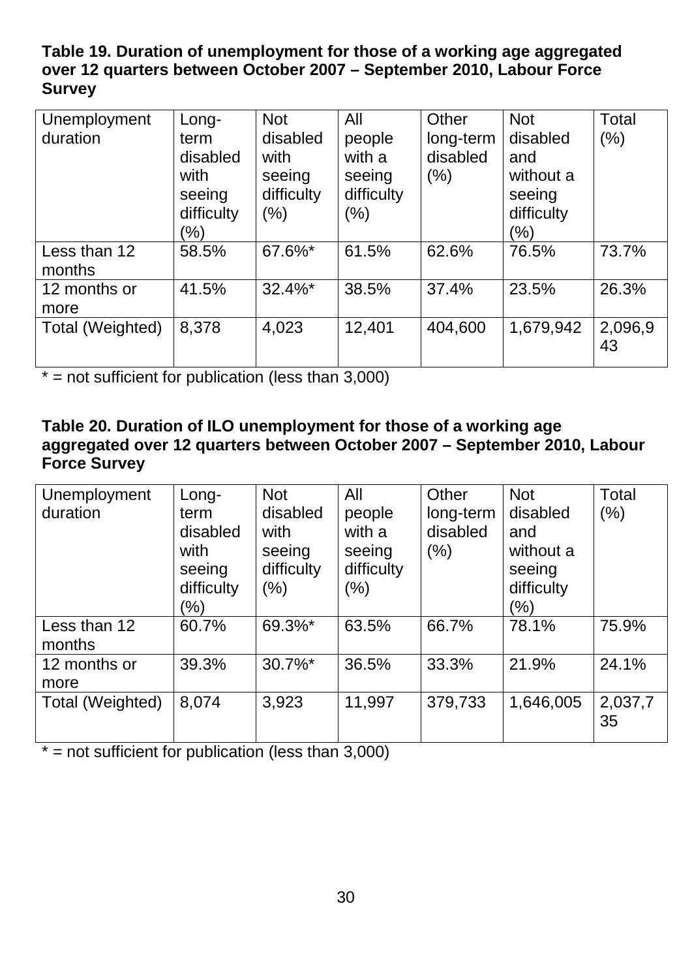### <span id="page-30-0"></span>**Table 19. Duration of unemployment for those of a working age aggregated over 12 quarters between October 2007 – September 2010, Labour Force Survey**

| Unemployment<br>duration | Long-<br>term<br>disabled<br>with<br>seeing<br>difficulty<br>$(\% )$ | <b>Not</b><br>disabled<br>with<br>seeing<br>difficulty<br>$(\% )$ | All<br>people<br>with a<br>seeing<br>difficulty<br>$(\% )$ | Other<br>long-term<br>disabled<br>(% ) | <b>Not</b><br>disabled<br>and<br>without a<br>seeing<br>difficulty<br>$(\% )$ | Total<br>$(\% )$ |
|--------------------------|----------------------------------------------------------------------|-------------------------------------------------------------------|------------------------------------------------------------|----------------------------------------|-------------------------------------------------------------------------------|------------------|
| Less than 12<br>months   | 58.5%                                                                | 67.6%*                                                            | 61.5%                                                      | 62.6%                                  | 76.5%                                                                         | 73.7%            |
| 12 months or<br>more     | 41.5%                                                                | $32.4\%$ *                                                        | 38.5%                                                      | 37.4%                                  | 23.5%                                                                         | 26.3%            |
| Total (Weighted)         | 8,378                                                                | 4,023                                                             | 12,401                                                     | 404,600                                | 1,679,942                                                                     | 2,096,9<br>43    |

 $* =$  not sufficient for publication (less than 3,000)

#### <span id="page-30-1"></span>**Table 20. Duration of ILO unemployment for those of a working age aggregated over 12 quarters between October 2007 – September 2010, Labour Force Survey**

| Unemployment<br>duration | Long-<br>term<br>disabled<br>with<br>seeing<br>difficulty<br>$(\% )$ | <b>Not</b><br>disabled<br>with<br>seeing<br>difficulty<br>(% ) | All<br>people<br>with a<br>seeing<br>difficulty<br>(%) | Other<br>long-term<br>disabled<br>$(\% )$ | <b>Not</b><br>disabled<br>and<br>without a<br>seeing<br>difficulty<br>(%) | Total<br>(%)  |
|--------------------------|----------------------------------------------------------------------|----------------------------------------------------------------|--------------------------------------------------------|-------------------------------------------|---------------------------------------------------------------------------|---------------|
| Less than 12<br>months   | 60.7%                                                                | 69.3%*                                                         | 63.5%                                                  | 66.7%                                     | 78.1%                                                                     | 75.9%         |
| 12 months or<br>more     | 39.3%                                                                | $30.7\%$ <sup>*</sup>                                          | 36.5%                                                  | 33.3%                                     | 21.9%                                                                     | 24.1%         |
| Total (Weighted)         | 8,074                                                                | 3,923                                                          | 11,997                                                 | 379,733                                   | 1,646,005                                                                 | 2,037,7<br>35 |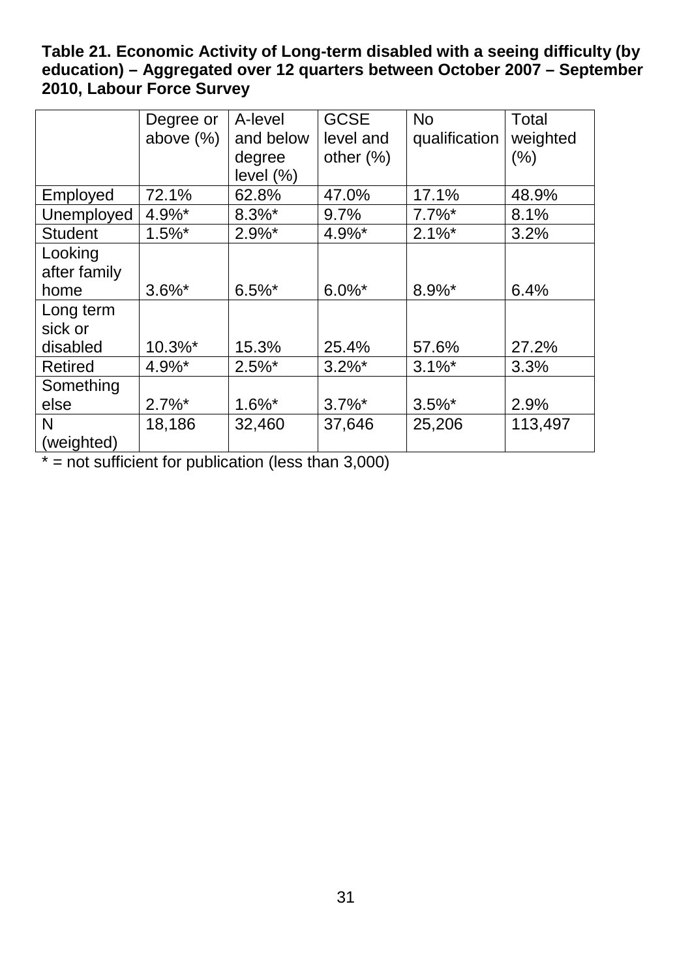### <span id="page-31-0"></span>**Table 21. Economic Activity of Long-term disabled with a seeing difficulty (by education) – Aggregated over 12 quarters between October 2007 – September 2010, Labour Force Survey**

|                | Degree or    | A-level      | <b>GCSE</b>  | <b>No</b>     | Total    |
|----------------|--------------|--------------|--------------|---------------|----------|
|                | above $(\%)$ | and below    | level and    | qualification | weighted |
|                |              | degree       | other $(\%)$ |               | (% )     |
|                |              | level $(\%)$ |              |               |          |
| Employed       | 72.1%        | 62.8%        | 47.0%        | 17.1%         | 48.9%    |
| Unemployed     | 4.9%*        | $8.3\%$ *    | 9.7%         | $7.7\%$ *     | 8.1%     |
| <b>Student</b> | $1.5\%$ *    | $2.9\%$ *    | 4.9%*        | $2.1\%$ *     | 3.2%     |
| Looking        |              |              |              |               |          |
| after family   |              |              |              |               |          |
| home           | $3.6\%$ *    | $6.5\%$ *    | $6.0\%$ *    | $8.9\%$ *     | 6.4%     |
| Long term      |              |              |              |               |          |
| sick or        |              |              |              |               |          |
| disabled       | 10.3%*       | 15.3%        | 25.4%        | 57.6%         | 27.2%    |
| <b>Retired</b> | 4.9%*        | $2.5\%$ *    | $3.2\%$ *    | $3.1\%$ *     | 3.3%     |
| Something      |              |              |              |               |          |
| else           | $2.7\%$ *    | $1.6\%$ *    | $3.7\%$ *    | $3.5\%$ *     | 2.9%     |
| N              | 18,186       | 32,460       | 37,646       | 25,206        | 113,497  |
| (weighted)     |              |              |              |               |          |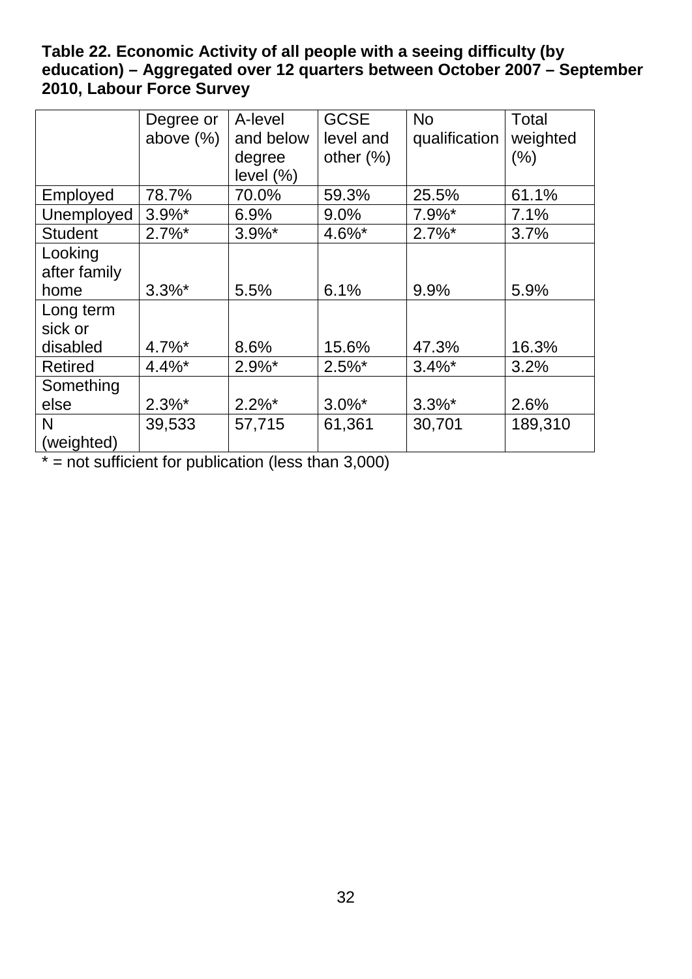#### <span id="page-32-0"></span>**Table 22. Economic Activity of all people with a seeing difficulty (by education) – Aggregated over 12 quarters between October 2007 – September 2010, Labour Force Survey**

|                | Degree or            | A-level      | <b>GCSE</b>  | <b>No</b>            | Total    |
|----------------|----------------------|--------------|--------------|----------------------|----------|
|                | above $(\%)$         | and below    | level and    | qualification        | weighted |
|                |                      | degree       | other $(\%)$ |                      | (% )     |
|                |                      | level $(\%)$ |              |                      |          |
| Employed       | 78.7%                | 70.0%        | 59.3%        | 25.5%                | 61.1%    |
| Unemployed     | $3.9\%$ *            | 6.9%         | 9.0%         | $7.9\%$ <sup>*</sup> | 7.1%     |
| <b>Student</b> | $2.7\%$ <sup>*</sup> | $3.9\%$ *    | $4.6\%$ *    | $2.7\%$ *            | 3.7%     |
| Looking        |                      |              |              |                      |          |
| after family   |                      |              |              |                      |          |
| home           | $3.3\%$ *            | 5.5%         | 6.1%         | 9.9%                 | 5.9%     |
| Long term      |                      |              |              |                      |          |
| sick or        |                      |              |              |                      |          |
| disabled       | $4.7\%$ <sup>*</sup> | 8.6%         | 15.6%        | 47.3%                | 16.3%    |
| <b>Retired</b> | $4.4\%$ *            | $2.9\%$ *    | $2.5\%$ *    | $3.4\%$ *            | 3.2%     |
| Something      |                      |              |              |                      |          |
| else           | $2.3\%$ *            | $2.2\%$ *    | $3.0\%$ *    | $3.3\%$ *            | 2.6%     |
| N              | 39,533               | 57,715       | 61,361       | 30,701               | 189,310  |
| (weighted)     |                      |              |              |                      |          |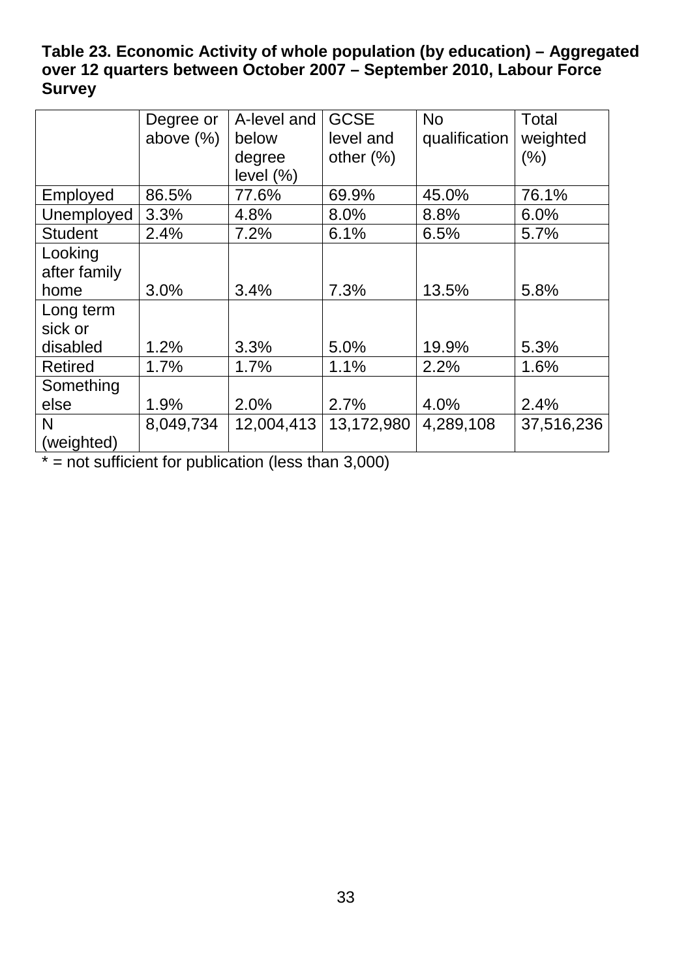### <span id="page-33-0"></span>**Table 23. Economic Activity of whole population (by education) – Aggregated over 12 quarters between October 2007 – September 2010, Labour Force Survey**

|                | Degree or    | A-level and  | <b>GCSE</b>  | <b>No</b>     | <b>Total</b> |
|----------------|--------------|--------------|--------------|---------------|--------------|
|                | above $(\%)$ | below        | level and    | qualification | weighted     |
|                |              | degree       | other $(\%)$ |               | $(\% )$      |
|                |              | level $(\%)$ |              |               |              |
| Employed       | 86.5%        | 77.6%        | 69.9%        | 45.0%         | 76.1%        |
| Unemployed     | 3.3%         | 4.8%         | 8.0%         | 8.8%          | 6.0%         |
| <b>Student</b> | 2.4%         | 7.2%         | 6.1%         | 6.5%          | 5.7%         |
| Looking        |              |              |              |               |              |
| after family   |              |              |              |               |              |
| home           | 3.0%         | 3.4%         | 7.3%         | 13.5%         | 5.8%         |
| Long term      |              |              |              |               |              |
| sick or        |              |              |              |               |              |
| disabled       | 1.2%         | 3.3%         | 5.0%         | 19.9%         | 5.3%         |
| <b>Retired</b> | 1.7%         | 1.7%         | 1.1%         | 2.2%          | 1.6%         |
| Something      |              |              |              |               |              |
| else           | 1.9%         | 2.0%         | 2.7%         | 4.0%          | 2.4%         |
| N              | 8,049,734    | 12,004,413   | 13,172,980   | 4,289,108     | 37,516,236   |
| (weighted)     |              |              |              |               |              |